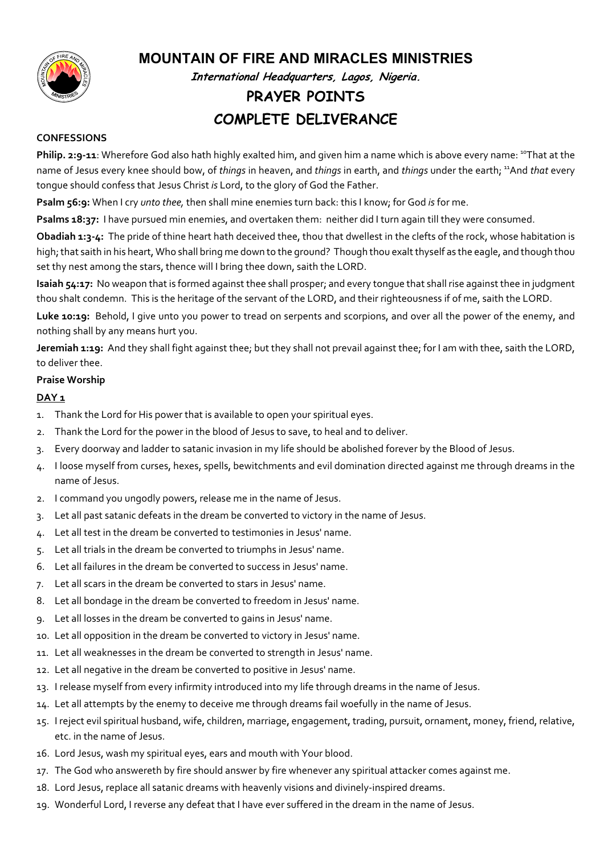

## MOUNTAIN OF FIRE AND MIRACLES MINISTRIES

International Headquarters, Lagos, Nigeria.

# PRAYER POINTS COMPLETE DELIVERANCE

## CONFESSIONS

Philip. 2:9-11: Wherefore God also hath highly exalted him, and given him a name which is above every name: <sup>10</sup>That at the name of Jesus every knee should bow, of things in heaven, and things in earth, and things under the earth; <sup>11</sup>And that every tongue should confess that Jesus Christ is Lord, to the glory of God the Father.

Psalm 56:9: When I cry *unto thee*, then shall mine enemies turn back: this I know; for God is for me.

Psalms 18:37: I have pursued min enemies, and overtaken them: neither did I turn again till they were consumed.

Obadiah 1:3-4: The pride of thine heart hath deceived thee, thou that dwellest in the clefts of the rock, whose habitation is high; that saith in his heart, Who shall bring me down to the ground? Though thou exalt thyself as the eagle, and though thou set thy nest among the stars, thence will I bring thee down, saith the LORD.

Isaiah 54:17: No weapon that is formed against thee shall prosper; and every tongue that shall rise against thee in judgment thou shalt condemn. This is the heritage of the servant of the LORD, and their righteousness if of me, saith the LORD.

Luke 10:19: Behold, I give unto you power to tread on serpents and scorpions, and over all the power of the enemy, and nothing shall by any means hurt you.

Jeremiah 1:19: And they shall fight against thee; but they shall not prevail against thee; for I am with thee, saith the LORD, to deliver thee.

## Praise Worship

## DAY<sub>1</sub>

- 1. Thank the Lord for His power that is available to open your spiritual eyes.
- 2. Thank the Lord for the power in the blood of Jesus to save, to heal and to deliver.
- 3. Every doorway and ladder to satanic invasion in my life should be abolished forever by the Blood of Jesus.
- 4. I loose myself from curses, hexes, spells, bewitchments and evil domination directed against me through dreams in the name of Jesus.
- 2. I command you ungodly powers, release me in the name of Jesus.
- 3. Let all past satanic defeats in the dream be converted to victory in the name of Jesus.
- 4. Let all test in the dream be converted to testimonies in Jesus' name.
- 5. Let all trials in the dream be converted to triumphs in Jesus' name.
- 6. Let all failures in the dream be converted to success in Jesus' name.
- 7. Let all scars in the dream be converted to stars in Jesus' name.
- 8. Let all bondage in the dream be converted to freedom in Jesus' name.
- 9. Let all losses in the dream be converted to gains in Jesus' name.
- 10. Let all opposition in the dream be converted to victory in Jesus' name.
- 11. Let all weaknesses in the dream be converted to strength in Jesus' name.
- 12. Let all negative in the dream be converted to positive in Jesus' name.
- 13. I release myself from every infirmity introduced into my life through dreams in the name of Jesus.
- 14. Let all attempts by the enemy to deceive me through dreams fail woefully in the name of Jesus.
- 15. I reject evil spiritual husband, wife, children, marriage, engagement, trading, pursuit, ornament, money, friend, relative, etc. in the name of Jesus.
- 16. Lord Jesus, wash my spiritual eyes, ears and mouth with Your blood.
- 17. The God who answereth by fire should answer by fire whenever any spiritual attacker comes against me.
- 18. Lord Jesus, replace all satanic dreams with heavenly visions and divinely-inspired dreams.
- 19. Wonderful Lord, I reverse any defeat that I have ever suffered in the dream in the name of Jesus.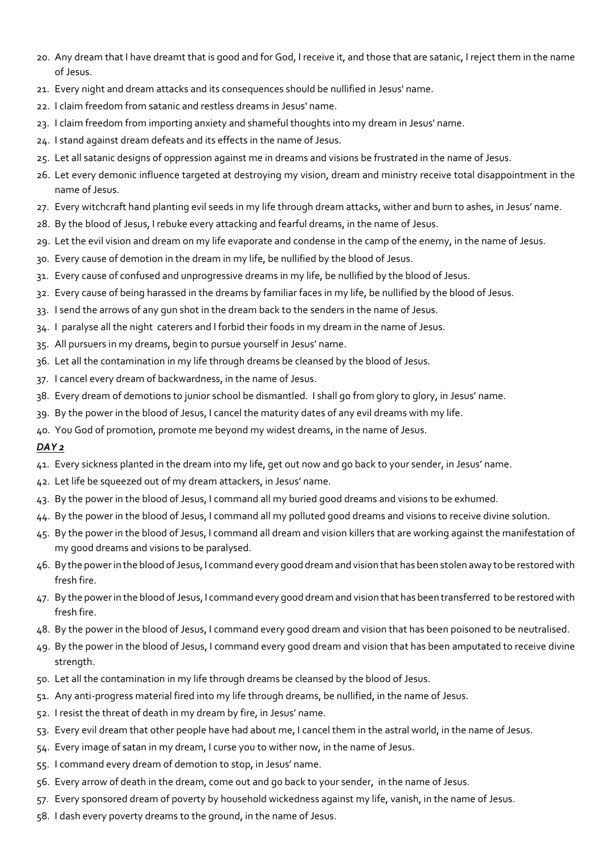- 20. Any dream that I have dreamt that is good and for God, I receive it, and those that are satanic, I reject them in the name of Jesus.
- 21. Every night and dream attacks and its consequences should be nullified in Jesus' name.
- 22. I claim freedom from satanic and restless dreams in Jesus' name.
- 23. I claim freedom from importing anxiety and shameful thoughts into my dream in Jesus' name.
- 24. I stand against dream defeats and its effects in the name of Jesus.
- 25. Let all satanic designs of oppression against me in dreams and visions be frustrated in the name of Jesus.
- 26. Let every demonic influence targeted at destroying my vision, dream and ministry receive total disappointment in the name of Jesus.
- 27. Every witchcraft hand planting evil seeds in my life through dream attacks, wither and burn to ashes, in Jesus' name.
- 28. By the blood of Jesus, I rebuke every attacking and fearful dreams, in the name of Jesus.
- 29. Let the evil vision and dream on my life evaporate and condense in the camp of the enemy, in the name of Jesus.
- 30. Every cause of demotion in the dream in my life, be nullified by the blood of Jesus.
- 31. Every cause of confused and unprogressive dreams in my life, be nullified by the blood of Jesus.
- 32. Every cause of being harassed in the dreams by familiar faces in my life, be nullified by the blood of Jesus.
- 33. I send the arrows of any gun shot in the dream back to the senders in the name of Jesus.
- 34. I paralyse all the night caterers and I forbid their foods in my dream in the name of Jesus.
- 35. All pursuers in my dreams, begin to pursue yourself in Jesus' name.
- 36. Let all the contamination in my life through dreams be cleansed by the blood of Jesus.
- 37. I cancel every dream of backwardness, in the name of Jesus.
- 38. Every dream of demotions to junior school be dismantled. I shall go from glory to glory, in Jesus' name.
- 39. By the power in the blood of Jesus, I cancel the maturity dates of any evil dreams with my life.
- 40. You God of promotion, promote me beyond my widest dreams, in the name of Jesus.

- 41. Every sickness planted in the dream into my life, get out now and go back to your sender, in Jesus' name.
- 42. Let life be squeezed out of my dream attackers, in Jesus' name.
- 43. By the power in the blood of Jesus, I command all my buried good dreams and visions to be exhumed.
- 44. By the power in the blood of Jesus, I command all my polluted good dreams and visions to receive divine solution.
- 45. By the power in the blood of Jesus, I command all dream and vision killers that are working against the manifestation of my good dreams and visions to be paralysed.
- 46. By the power in the blood of Jesus, I command every good dream and vision that has been stolen away to be restored with fresh fire.
- 47. By the power in the blood of Jesus, I command every good dream and vision that has been transferred to be restored with fresh fire.
- 48. By the power in the blood of Jesus, I command every good dream and vision that has been poisoned to be neutralised.
- 49. By the power in the blood of Jesus, I command every good dream and vision that has been amputated to receive divine strength.
- 50. Let all the contamination in my life through dreams be cleansed by the blood of Jesus.
- 51. Any anti-progress material fired into my life through dreams, be nullified, in the name of Jesus.
- 52. I resist the threat of death in my dream by fire, in Jesus' name.
- 53. Every evil dream that other people have had about me, I cancel them in the astral world, in the name of Jesus.
- 54. Every image of satan in my dream, I curse you to wither now, in the name of Jesus.
- 55. I command every dream of demotion to stop, in Jesus' name.
- 56. Every arrow of death in the dream, come out and go back to your sender, in the name of Jesus.
- 57. Every sponsored dream of poverty by household wickedness against my life, vanish, in the name of Jesus.
- 58. I dash every poverty dreams to the ground, in the name of Jesus.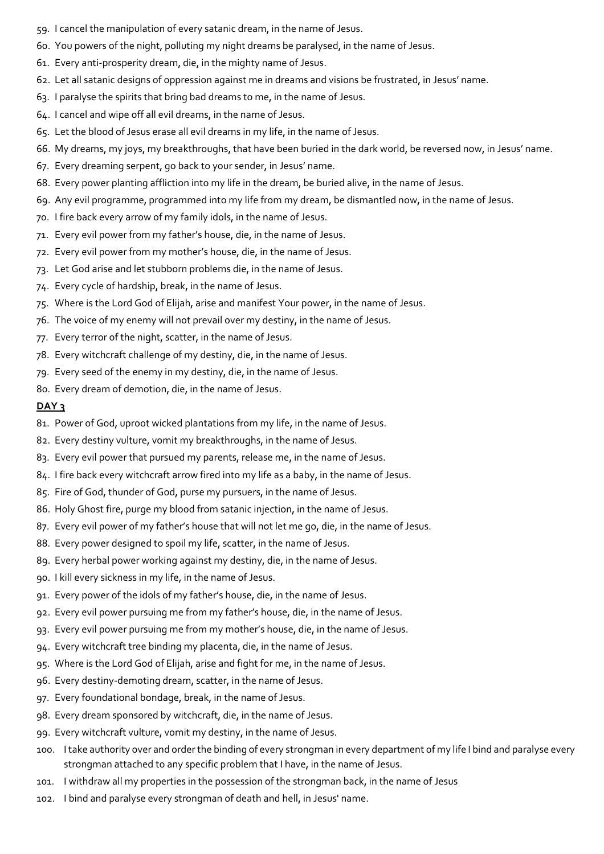- 59. I cancel the manipulation of every satanic dream, in the name of Jesus.
- 60. You powers of the night, polluting my night dreams be paralysed, in the name of Jesus.
- 61. Every anti-prosperity dream, die, in the mighty name of Jesus.
- 62. Let all satanic designs of oppression against me in dreams and visions be frustrated, in Jesus' name.
- 63. I paralyse the spirits that bring bad dreams to me, in the name of Jesus.
- 64. I cancel and wipe off all evil dreams, in the name of Jesus.
- 65. Let the blood of Jesus erase all evil dreams in my life, in the name of Jesus.
- 66. My dreams, my joys, my breakthroughs, that have been buried in the dark world, be reversed now, in Jesus' name.
- 67. Every dreaming serpent, go back to your sender, in Jesus' name.
- 68. Every power planting affliction into my life in the dream, be buried alive, in the name of Jesus.
- 69. Any evil programme, programmed into my life from my dream, be dismantled now, in the name of Jesus.
- 70. I fire back every arrow of my family idols, in the name of Jesus.
- 71. Every evil power from my father's house, die, in the name of Jesus.
- 72. Every evil power from my mother's house, die, in the name of Jesus.
- 73. Let God arise and let stubborn problems die, in the name of Jesus.
- 74. Every cycle of hardship, break, in the name of Jesus.
- 75. Where is the Lord God of Elijah, arise and manifest Your power, in the name of Jesus.
- 76. The voice of my enemy will not prevail over my destiny, in the name of Jesus.
- 77. Every terror of the night, scatter, in the name of Jesus.
- 78. Every witchcraft challenge of my destiny, die, in the name of Jesus.
- 79. Every seed of the enemy in my destiny, die, in the name of Jesus.
- 80. Every dream of demotion, die, in the name of Jesus.

- 81. Power of God, uproot wicked plantations from my life, in the name of Jesus.
- 82. Every destiny vulture, vomit my breakthroughs, in the name of Jesus.
- 83. Every evil power that pursued my parents, release me, in the name of Jesus.
- 84. I fire back every witchcraft arrow fired into my life as a baby, in the name of Jesus.
- 85. Fire of God, thunder of God, purse my pursuers, in the name of Jesus.
- 86. Holy Ghost fire, purge my blood from satanic injection, in the name of Jesus.
- 87. Every evil power of my father's house that will not let me go, die, in the name of Jesus.
- 88. Every power designed to spoil my life, scatter, in the name of Jesus.
- 89. Every herbal power working against my destiny, die, in the name of Jesus.
- 90. I kill every sickness in my life, in the name of Jesus.
- 91. Every power of the idols of my father's house, die, in the name of Jesus.
- 92. Every evil power pursuing me from my father's house, die, in the name of Jesus.
- 93. Every evil power pursuing me from my mother's house, die, in the name of Jesus.
- 94. Every witchcraft tree binding my placenta, die, in the name of Jesus.
- 95. Where is the Lord God of Elijah, arise and fight for me, in the name of Jesus.
- 96. Every destiny-demoting dream, scatter, in the name of Jesus.
- 97. Every foundational bondage, break, in the name of Jesus.
- 98. Every dream sponsored by witchcraft, die, in the name of Jesus.
- 99. Every witchcraft vulture, vomit my destiny, in the name of Jesus.
- 100. I take authority over and order the binding of every strongman in every department of my life I bind and paralyse every strongman attached to any specific problem that I have, in the name of Jesus.
- 101. I withdraw all my properties in the possession of the strongman back, in the name of Jesus
- 102. I bind and paralyse every strongman of death and hell, in Jesus' name.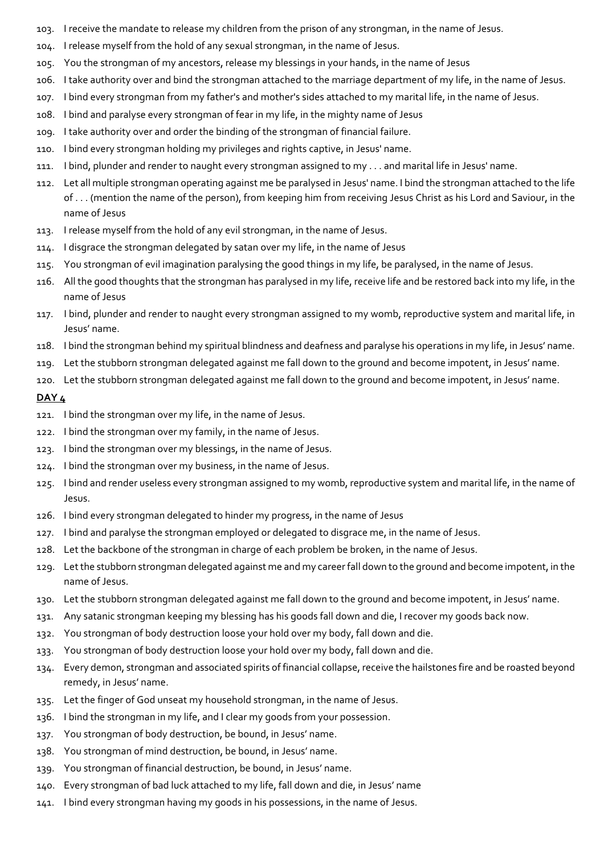- 103. I receive the mandate to release my children from the prison of any strongman, in the name of Jesus.
- 104. I release myself from the hold of any sexual strongman, in the name of Jesus.
- 105. You the strongman of my ancestors, release my blessings in your hands, in the name of Jesus
- 106. I take authority over and bind the strongman attached to the marriage department of my life, in the name of Jesus.
- 107. I bind every strongman from my father's and mother's sides attached to my marital life, in the name of Jesus.
- 108. I bind and paralyse every strongman of fear in my life, in the mighty name of Jesus
- 109. I take authority over and order the binding of the strongman of financial failure.
- 110. I bind every strongman holding my privileges and rights captive, in Jesus' name.
- 111. I bind, plunder and render to naught every strongman assigned to my . . . and marital life in Jesus' name.
- 112. Let all multiple strongman operating against me be paralysed in Jesus' name. I bind the strongman attached to the life of . . . (mention the name of the person), from keeping him from receiving Jesus Christ as his Lord and Saviour, in the name of Jesus
- 113. I release myself from the hold of any evil strongman, in the name of Jesus.
- 114. I disgrace the strongman delegated by satan over my life, in the name of Jesus
- 115. You strongman of evil imagination paralysing the good things in my life, be paralysed, in the name of Jesus.
- 116. All the good thoughts that the strongman has paralysed in my life, receive life and be restored back into my life, in the name of Jesus
- 117. I bind, plunder and render to naught every strongman assigned to my womb, reproductive system and marital life, in Jesus' name.
- 118. I bind the strongman behind my spiritual blindness and deafness and paralyse his operations in my life, in Jesus' name.
- 119. Let the stubborn strongman delegated against me fall down to the ground and become impotent, in Jesus' name.
- 120. Let the stubborn strongman delegated against me fall down to the ground and become impotent, in Jesus' name.

## DAY<sub>4</sub>

- 121. I bind the strongman over my life, in the name of Jesus.
- 122. I bind the strongman over my family, in the name of Jesus.
- 123. I bind the strongman over my blessings, in the name of Jesus.
- 124. I bind the strongman over my business, in the name of Jesus.
- 125. I bind and render useless every strongman assigned to my womb, reproductive system and marital life, in the name of Jesus.
- 126. I bind every strongman delegated to hinder my progress, in the name of Jesus
- 127. I bind and paralyse the strongman employed or delegated to disgrace me, in the name of Jesus.
- 128. Let the backbone of the strongman in charge of each problem be broken, in the name of Jesus.
- 129. Let the stubborn strongman delegated against me and my career fall down to the ground and become impotent, in the name of Jesus.
- 130. Let the stubborn strongman delegated against me fall down to the ground and become impotent, in Jesus' name.
- 131. Any satanic strongman keeping my blessing has his goods fall down and die, I recover my goods back now.
- 132. You strongman of body destruction loose your hold over my body, fall down and die.
- 133. You strongman of body destruction loose your hold over my body, fall down and die.
- 134. Every demon, strongman and associated spirits of financial collapse, receive the hailstones fire and be roasted beyond remedy, in Jesus' name.
- 135. Let the finger of God unseat my household strongman, in the name of Jesus.
- 136. I bind the strongman in my life, and I clear my goods from your possession.
- 137. You strongman of body destruction, be bound, in Jesus' name.
- 138. You strongman of mind destruction, be bound, in Jesus' name.
- 139. You strongman of financial destruction, be bound, in Jesus' name.
- 140. Every strongman of bad luck attached to my life, fall down and die, in Jesus' name
- 141. I bind every strongman having my goods in his possessions, in the name of Jesus.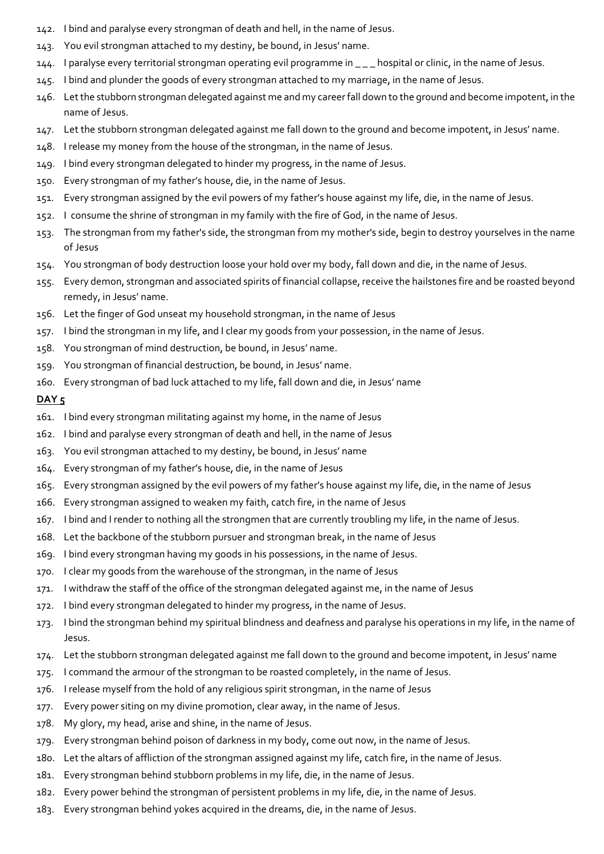- 142. I bind and paralyse every strongman of death and hell, in the name of Jesus.
- 143. You evil strongman attached to my destiny, be bound, in Jesus' name.
- 144. I paralyse every territorial strongman operating evil programme in \_ \_ \_ hospital or clinic, in the name of Jesus.
- 145. I bind and plunder the goods of every strongman attached to my marriage, in the name of Jesus.
- 146. Let the stubborn strongman delegated against me and my career fall down to the ground and become impotent, in the name of Jesus.
- 147. Let the stubborn strongman delegated against me fall down to the ground and become impotent, in Jesus' name.
- 148. I release my money from the house of the strongman, in the name of Jesus.
- 149. I bind every strongman delegated to hinder my progress, in the name of Jesus.
- 150. Every strongman of my father's house, die, in the name of Jesus.
- 151. Every strongman assigned by the evil powers of my father's house against my life, die, in the name of Jesus.
- 152. I consume the shrine of strongman in my family with the fire of God, in the name of Jesus.
- 153. The strongman from my father's side, the strongman from my mother's side, begin to destroy yourselves in the name of Jesus
- 154. You strongman of body destruction loose your hold over my body, fall down and die, in the name of Jesus.
- 155. Every demon, strongman and associated spirits of financial collapse, receive the hailstones fire and be roasted beyond remedy, in Jesus' name.
- 156. Let the finger of God unseat my household strongman, in the name of Jesus
- 157. I bind the strongman in my life, and I clear my goods from your possession, in the name of Jesus.
- 158. You strongman of mind destruction, be bound, in Jesus' name.
- 159. You strongman of financial destruction, be bound, in Jesus' name.
- 160. Every strongman of bad luck attached to my life, fall down and die, in Jesus' name

## DAY<sub>5</sub>

- 161. I bind every strongman militating against my home, in the name of Jesus
- 162. I bind and paralyse every strongman of death and hell, in the name of Jesus
- 163. You evil strongman attached to my destiny, be bound, in Jesus' name
- 164. Every strongman of my father's house, die, in the name of Jesus
- 165. Every strongman assigned by the evil powers of my father's house against my life, die, in the name of Jesus
- 166. Every strongman assigned to weaken my faith, catch fire, in the name of Jesus
- 167. I bind and I render to nothing all the strongmen that are currently troubling my life, in the name of Jesus.
- 168. Let the backbone of the stubborn pursuer and strongman break, in the name of Jesus
- 169. I bind every strongman having my goods in his possessions, in the name of Jesus.
- 170. I clear my goods from the warehouse of the strongman, in the name of Jesus
- 171. I withdraw the staff of the office of the strongman delegated against me, in the name of Jesus
- 172. I bind every strongman delegated to hinder my progress, in the name of Jesus.
- 173. I bind the strongman behind my spiritual blindness and deafness and paralyse his operations in my life, in the name of Jesus.
- 174. Let the stubborn strongman delegated against me fall down to the ground and become impotent, in Jesus' name
- 175. I command the armour of the strongman to be roasted completely, in the name of Jesus.
- 176. I release myself from the hold of any religious spirit strongman, in the name of Jesus
- 177. Every power siting on my divine promotion, clear away, in the name of Jesus.
- 178. My glory, my head, arise and shine, in the name of Jesus.
- 179. Every strongman behind poison of darkness in my body, come out now, in the name of Jesus.
- 180. Let the altars of affliction of the strongman assigned against my life, catch fire, in the name of Jesus.
- 181. Every strongman behind stubborn problems in my life, die, in the name of Jesus.
- 182. Every power behind the strongman of persistent problems in my life, die, in the name of Jesus.
- 183. Every strongman behind yokes acquired in the dreams, die, in the name of Jesus.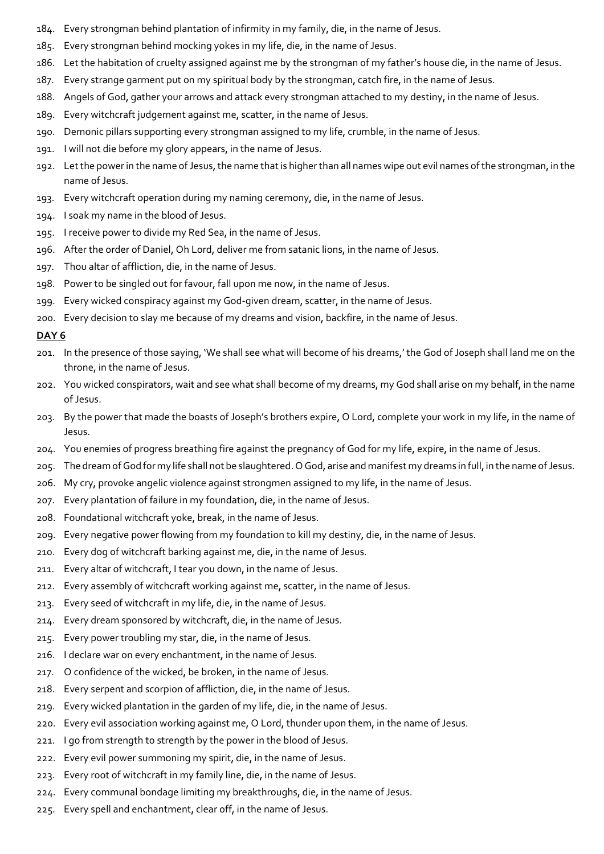- 184. Every strongman behind plantation of infirmity in my family, die, in the name of Jesus.
- 185. Every strongman behind mocking yokes in my life, die, in the name of Jesus.
- 186. Let the habitation of cruelty assigned against me by the strongman of my father's house die, in the name of Jesus.
- 187. Every strange garment put on my spiritual body by the strongman, catch fire, in the name of Jesus.
- 188. Angels of God, gather your arrows and attack every strongman attached to my destiny, in the name of Jesus.
- 189. Every witchcraft judgement against me, scatter, in the name of Jesus.
- 190. Demonic pillars supporting every strongman assigned to my life, crumble, in the name of Jesus.
- 191. I will not die before my glory appears, in the name of Jesus.
- 192. Let the power in the name of Jesus, the name that is higher than all names wipe out evil names of the strongman, in the name of Jesus.
- 193. Every witchcraft operation during my naming ceremony, die, in the name of Jesus.
- 194. I soak my name in the blood of Jesus.
- 195. I receive power to divide my Red Sea, in the name of Jesus.
- 196. After the order of Daniel, Oh Lord, deliver me from satanic lions, in the name of Jesus.
- 197. Thou altar of affliction, die, in the name of Jesus.
- 198. Power to be singled out for favour, fall upon me now, in the name of Jesus.
- 199. Every wicked conspiracy against my God-given dream, scatter, in the name of Jesus.
- 200. Every decision to slay me because of my dreams and vision, backfire, in the name of Jesus.

#### DAY<sub>6</sub>

- 201. In the presence of those saying, 'We shall see what will become of his dreams,' the God of Joseph shall land me on the throne, in the name of Jesus.
- 202. You wicked conspirators, wait and see what shall become of my dreams, my God shall arise on my behalf, in the name of Jesus.
- 203. By the power that made the boasts of Joseph's brothers expire, O Lord, complete your work in my life, in the name of Jesus.
- 204. You enemies of progress breathing fire against the pregnancy of God for my life, expire, in the name of Jesus.
- 205. The dream of God for my life shall not be slaughtered. O God, arise and manifest my dreams in full, in the name of Jesus.
- 206. My cry, provoke angelic violence against strongmen assigned to my life, in the name of Jesus.
- 207. Every plantation of failure in my foundation, die, in the name of Jesus.
- 208. Foundational witchcraft yoke, break, in the name of Jesus.
- 209. Every negative power flowing from my foundation to kill my destiny, die, in the name of Jesus.
- 210. Every dog of witchcraft barking against me, die, in the name of Jesus.
- 211. Every altar of witchcraft, I tear you down, in the name of Jesus.
- 212. Every assembly of witchcraft working against me, scatter, in the name of Jesus.
- 213. Every seed of witchcraft in my life, die, in the name of Jesus.
- 214. Every dream sponsored by witchcraft, die, in the name of Jesus.
- 215. Every power troubling my star, die, in the name of Jesus.
- 216. I declare war on every enchantment, in the name of Jesus.
- 217. O confidence of the wicked, be broken, in the name of Jesus.
- 218. Every serpent and scorpion of affliction, die, in the name of Jesus.
- 219. Every wicked plantation in the garden of my life, die, in the name of Jesus.
- 220. Every evil association working against me, O Lord, thunder upon them, in the name of Jesus.
- 221. I go from strength to strength by the power in the blood of Jesus.
- 222. Every evil power summoning my spirit, die, in the name of Jesus.
- 223. Every root of witchcraft in my family line, die, in the name of Jesus.
- 224. Every communal bondage limiting my breakthroughs, die, in the name of Jesus.
- 225. Every spell and enchantment, clear off, in the name of Jesus.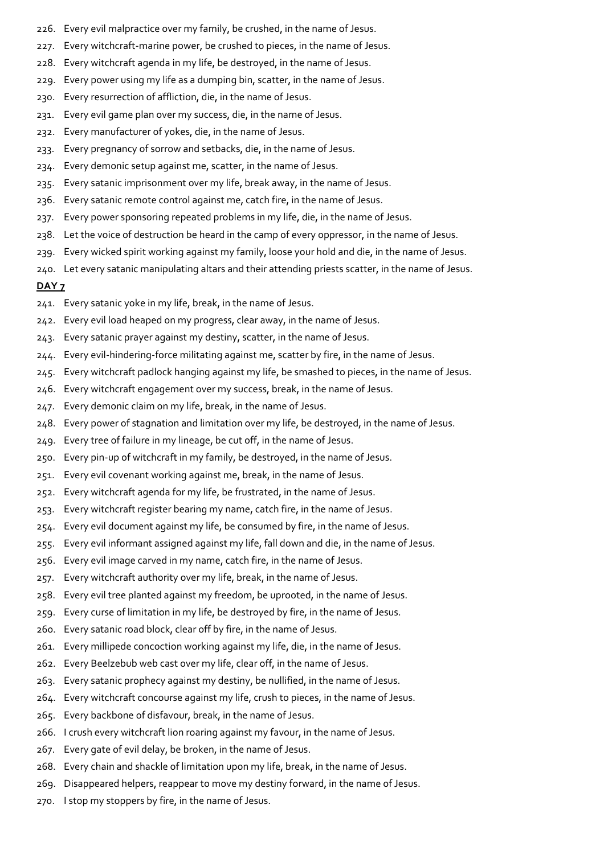- 226. Every evil malpractice over my family, be crushed, in the name of Jesus.
- 227. Every witchcraft-marine power, be crushed to pieces, in the name of Jesus.
- 228. Every witchcraft agenda in my life, be destroyed, in the name of Jesus.
- 229. Every power using my life as a dumping bin, scatter, in the name of Jesus.
- 230. Every resurrection of affliction, die, in the name of Jesus.
- 231. Every evil game plan over my success, die, in the name of Jesus.
- 232. Every manufacturer of yokes, die, in the name of Jesus.
- 233. Every pregnancy of sorrow and setbacks, die, in the name of Jesus.
- 234. Every demonic setup against me, scatter, in the name of Jesus.
- 235. Every satanic imprisonment over my life, break away, in the name of Jesus.
- 236. Every satanic remote control against me, catch fire, in the name of Jesus.
- 237. Every power sponsoring repeated problems in my life, die, in the name of Jesus.
- 238. Let the voice of destruction be heard in the camp of every oppressor, in the name of Jesus.
- 239. Every wicked spirit working against my family, loose your hold and die, in the name of Jesus.
- 240. Let every satanic manipulating altars and their attending priests scatter, in the name of Jesus.

#### DAY<sub>7</sub>

- 241. Every satanic yoke in my life, break, in the name of Jesus.
- 242. Every evil load heaped on my progress, clear away, in the name of Jesus.
- 243. Every satanic prayer against my destiny, scatter, in the name of Jesus.
- 244. Every evil-hindering-force militating against me, scatter by fire, in the name of Jesus.
- 245. Every witchcraft padlock hanging against my life, be smashed to pieces, in the name of Jesus.
- 246. Every witchcraft engagement over my success, break, in the name of Jesus.
- 247. Every demonic claim on my life, break, in the name of Jesus.
- 248. Every power of stagnation and limitation over my life, be destroyed, in the name of Jesus.
- 249. Every tree of failure in my lineage, be cut off, in the name of Jesus.
- 250. Every pin-up of witchcraft in my family, be destroyed, in the name of Jesus.
- 251. Every evil covenant working against me, break, in the name of Jesus.
- 252. Every witchcraft agenda for my life, be frustrated, in the name of Jesus.
- 253. Every witchcraft register bearing my name, catch fire, in the name of Jesus.
- 254. Every evil document against my life, be consumed by fire, in the name of Jesus.
- 255. Every evil informant assigned against my life, fall down and die, in the name of Jesus.
- 256. Every evil image carved in my name, catch fire, in the name of Jesus.
- 257. Every witchcraft authority over my life, break, in the name of Jesus.
- 258. Every evil tree planted against my freedom, be uprooted, in the name of Jesus.
- 259. Every curse of limitation in my life, be destroyed by fire, in the name of Jesus.
- 260. Every satanic road block, clear off by fire, in the name of Jesus.
- 261. Every millipede concoction working against my life, die, in the name of Jesus.
- 262. Every Beelzebub web cast over my life, clear off, in the name of Jesus.
- 263. Every satanic prophecy against my destiny, be nullified, in the name of Jesus.
- 264. Every witchcraft concourse against my life, crush to pieces, in the name of Jesus.
- 265. Every backbone of disfavour, break, in the name of Jesus.
- 266. I crush every witchcraft lion roaring against my favour, in the name of Jesus.
- 267. Every gate of evil delay, be broken, in the name of Jesus.
- 268. Every chain and shackle of limitation upon my life, break, in the name of Jesus.
- 269. Disappeared helpers, reappear to move my destiny forward, in the name of Jesus.
- 270. I stop my stoppers by fire, in the name of Jesus.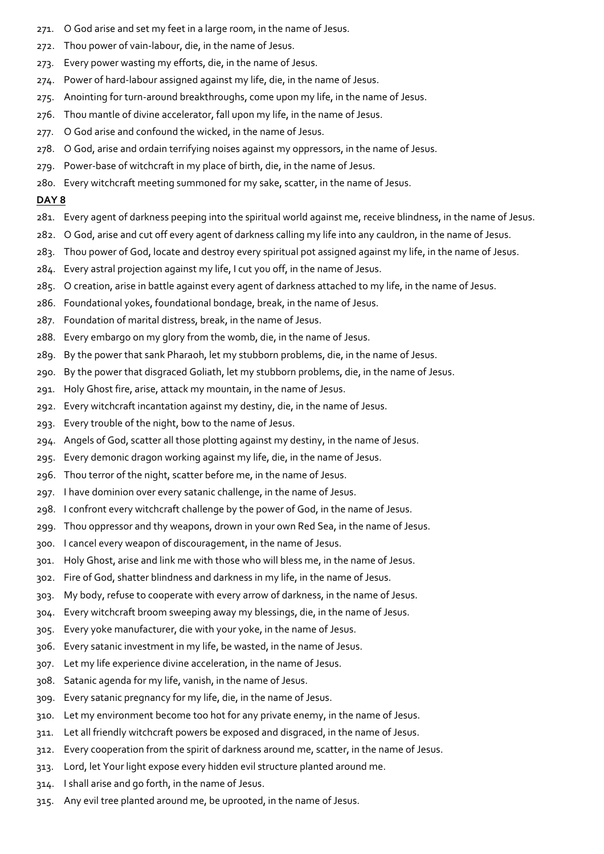- 271. O God arise and set my feet in a large room, in the name of Jesus.
- 272. Thou power of vain-labour, die, in the name of Jesus.
- 273. Every power wasting my efforts, die, in the name of Jesus.
- 274. Power of hard-labour assigned against my life, die, in the name of Jesus.
- 275. Anointing for turn-around breakthroughs, come upon my life, in the name of Jesus.
- 276. Thou mantle of divine accelerator, fall upon my life, in the name of Jesus.
- 277. O God arise and confound the wicked, in the name of Jesus.
- 278. O God, arise and ordain terrifying noises against my oppressors, in the name of Jesus.
- 279. Power-base of witchcraft in my place of birth, die, in the name of Jesus.
- 280. Every witchcraft meeting summoned for my sake, scatter, in the name of Jesus.

#### DAY<sub>8</sub>

- 281. Every agent of darkness peeping into the spiritual world against me, receive blindness, in the name of Jesus.
- 282. O God, arise and cut off every agent of darkness calling my life into any cauldron, in the name of Jesus.
- 283. Thou power of God, locate and destroy every spiritual pot assigned against my life, in the name of Jesus.
- 284. Every astral projection against my life, I cut you off, in the name of Jesus.
- 285. O creation, arise in battle against every agent of darkness attached to my life, in the name of Jesus.
- 286. Foundational yokes, foundational bondage, break, in the name of Jesus.
- 287. Foundation of marital distress, break, in the name of Jesus.
- 288. Every embargo on my glory from the womb, die, in the name of Jesus.
- 289. By the power that sank Pharaoh, let my stubborn problems, die, in the name of Jesus.
- 290. By the power that disgraced Goliath, let my stubborn problems, die, in the name of Jesus.
- 291. Holy Ghost fire, arise, attack my mountain, in the name of Jesus.
- 292. Every witchcraft incantation against my destiny, die, in the name of Jesus.
- 293. Every trouble of the night, bow to the name of Jesus.
- 294. Angels of God, scatter all those plotting against my destiny, in the name of Jesus.
- 295. Every demonic dragon working against my life, die, in the name of Jesus.
- 296. Thou terror of the night, scatter before me, in the name of Jesus.
- 297. I have dominion over every satanic challenge, in the name of Jesus.
- 298. I confront every witchcraft challenge by the power of God, in the name of Jesus.
- 299. Thou oppressor and thy weapons, drown in your own Red Sea, in the name of Jesus.
- 300. I cancel every weapon of discouragement, in the name of Jesus.
- 301. Holy Ghost, arise and link me with those who will bless me, in the name of Jesus.
- 302. Fire of God, shatter blindness and darkness in my life, in the name of Jesus.
- 303. My body, refuse to cooperate with every arrow of darkness, in the name of Jesus.
- 304. Every witchcraft broom sweeping away my blessings, die, in the name of Jesus.
- 305. Every yoke manufacturer, die with your yoke, in the name of Jesus.
- 306. Every satanic investment in my life, be wasted, in the name of Jesus.
- 307. Let my life experience divine acceleration, in the name of Jesus.
- 308. Satanic agenda for my life, vanish, in the name of Jesus.
- 309. Every satanic pregnancy for my life, die, in the name of Jesus.
- 310. Let my environment become too hot for any private enemy, in the name of Jesus.
- 311. Let all friendly witchcraft powers be exposed and disgraced, in the name of Jesus.
- 312. Every cooperation from the spirit of darkness around me, scatter, in the name of Jesus.
- 313. Lord, let Your light expose every hidden evil structure planted around me.
- 314. I shall arise and go forth, in the name of Jesus.
- 315. Any evil tree planted around me, be uprooted, in the name of Jesus.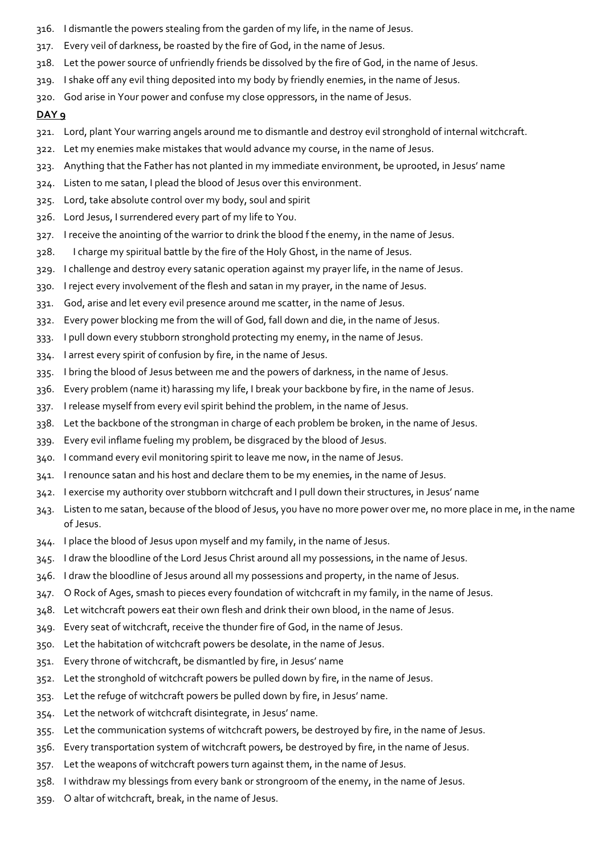- 316. I dismantle the powers stealing from the garden of my life, in the name of Jesus.
- 317. Every veil of darkness, be roasted by the fire of God, in the name of Jesus.
- 318. Let the power source of unfriendly friends be dissolved by the fire of God, in the name of Jesus.
- 319. I shake off any evil thing deposited into my body by friendly enemies, in the name of Jesus.
- 320. God arise in Your power and confuse my close oppressors, in the name of Jesus.

- 321. Lord, plant Your warring angels around me to dismantle and destroy evil stronghold of internal witchcraft.
- 322. Let my enemies make mistakes that would advance my course, in the name of Jesus.
- 323. Anything that the Father has not planted in my immediate environment, be uprooted, in Jesus' name
- 324. Listen to me satan, I plead the blood of Jesus over this environment.
- 325. Lord, take absolute control over my body, soul and spirit
- 326. Lord Jesus, I surrendered every part of my life to You.
- 327. I receive the anointing of the warrior to drink the blood f the enemy, in the name of Jesus.
- 328. I charge my spiritual battle by the fire of the Holy Ghost, in the name of Jesus.
- 329. I challenge and destroy every satanic operation against my prayer life, in the name of Jesus.
- 330. I reject every involvement of the flesh and satan in my prayer, in the name of Jesus.
- 331. God, arise and let every evil presence around me scatter, in the name of Jesus.
- 332. Every power blocking me from the will of God, fall down and die, in the name of Jesus.
- 333. I pull down every stubborn stronghold protecting my enemy, in the name of Jesus.
- 334. I arrest every spirit of confusion by fire, in the name of Jesus.
- 335. I bring the blood of Jesus between me and the powers of darkness, in the name of Jesus.
- 336. Every problem (name it) harassing my life, I break your backbone by fire, in the name of Jesus.
- 337. I release myself from every evil spirit behind the problem, in the name of Jesus.
- 338. Let the backbone of the strongman in charge of each problem be broken, in the name of Jesus.
- 339. Every evil inflame fueling my problem, be disgraced by the blood of Jesus.
- 340. I command every evil monitoring spirit to leave me now, in the name of Jesus.
- 341. I renounce satan and his host and declare them to be my enemies, in the name of Jesus.
- 342. I exercise my authority over stubborn witchcraft and I pull down their structures, in Jesus' name
- 343. Listen to me satan, because of the blood of Jesus, you have no more power over me, no more place in me, in the name of Jesus.
- 344. I place the blood of Jesus upon myself and my family, in the name of Jesus.
- 345. I draw the bloodline of the Lord Jesus Christ around all my possessions, in the name of Jesus.
- 346. I draw the bloodline of Jesus around all my possessions and property, in the name of Jesus.
- 347. O Rock of Ages, smash to pieces every foundation of witchcraft in my family, in the name of Jesus.
- 348. Let witchcraft powers eat their own flesh and drink their own blood, in the name of Jesus.
- 349. Every seat of witchcraft, receive the thunder fire of God, in the name of Jesus.
- 350. Let the habitation of witchcraft powers be desolate, in the name of Jesus.
- 351. Every throne of witchcraft, be dismantled by fire, in Jesus' name
- 352. Let the stronghold of witchcraft powers be pulled down by fire, in the name of Jesus.
- 353. Let the refuge of witchcraft powers be pulled down by fire, in Jesus' name.
- 354. Let the network of witchcraft disintegrate, in Jesus' name.
- 355. Let the communication systems of witchcraft powers, be destroyed by fire, in the name of Jesus.
- 356. Every transportation system of witchcraft powers, be destroyed by fire, in the name of Jesus.
- 357. Let the weapons of witchcraft powers turn against them, in the name of Jesus.
- 358. I withdraw my blessings from every bank or strongroom of the enemy, in the name of Jesus.
- 359. O altar of witchcraft, break, in the name of Jesus.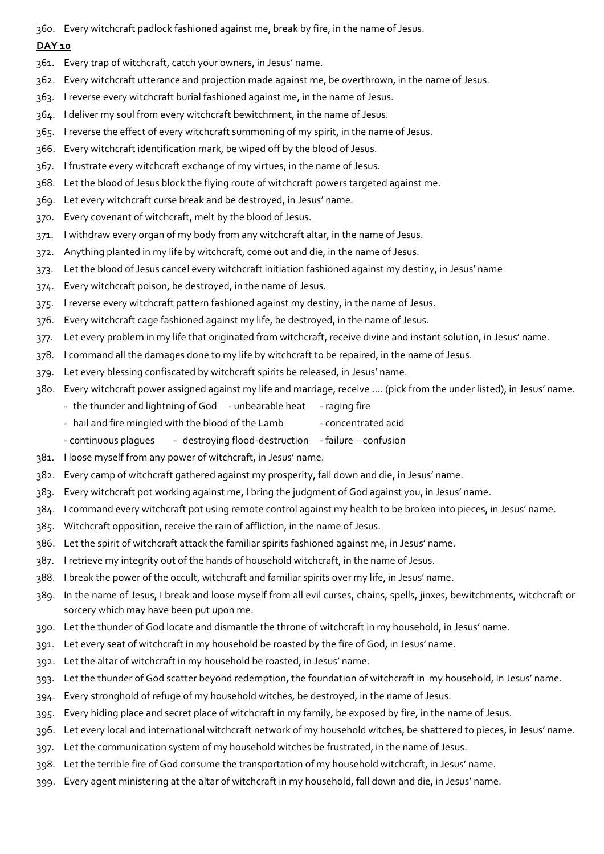360. Every witchcraft padlock fashioned against me, break by fire, in the name of Jesus.

- 361. Every trap of witchcraft, catch your owners, in Jesus' name.
- 362. Every witchcraft utterance and projection made against me, be overthrown, in the name of Jesus.
- 363. I reverse every witchcraft burial fashioned against me, in the name of Jesus.
- 364. I deliver my soul from every witchcraft bewitchment, in the name of Jesus.
- 365. I reverse the effect of every witchcraft summoning of my spirit, in the name of Jesus.
- 366. Every witchcraft identification mark, be wiped off by the blood of Jesus.
- 367. I frustrate every witchcraft exchange of my virtues, in the name of Jesus.
- 368. Let the blood of Jesus block the flying route of witchcraft powers targeted against me.
- 369. Let every witchcraft curse break and be destroyed, in Jesus' name.
- 370. Every covenant of witchcraft, melt by the blood of Jesus.
- 371. I withdraw every organ of my body from any witchcraft altar, in the name of Jesus.
- 372. Anything planted in my life by witchcraft, come out and die, in the name of Jesus.
- 373. Let the blood of Jesus cancel every witchcraft initiation fashioned against my destiny, in Jesus' name
- 374. Every witchcraft poison, be destroyed, in the name of Jesus.
- 375. I reverse every witchcraft pattern fashioned against my destiny, in the name of Jesus.
- 376. Every witchcraft cage fashioned against my life, be destroyed, in the name of Jesus.
- 377. Let every problem in my life that originated from witchcraft, receive divine and instant solution, in Jesus' name.
- 378. I command all the damages done to my life by witchcraft to be repaired, in the name of Jesus.
- 379. Let every blessing confiscated by witchcraft spirits be released, in Jesus' name.
- 380. Every witchcraft power assigned against my life and marriage, receive …. (pick from the under listed), in Jesus' name.
	- the thunder and lightning of God unbearable heat raging fire
	- hail and fire mingled with the blood of the Lamb concentrated acid
	- continuous plagues destroying flood-destruction failure confusion
- 381. I loose myself from any power of witchcraft, in Jesus' name.
- 382. Every camp of witchcraft gathered against my prosperity, fall down and die, in Jesus' name.
- 383. Every witchcraft pot working against me, I bring the judgment of God against you, in Jesus' name.
- 384. I command every witchcraft pot using remote control against my health to be broken into pieces, in Jesus' name.
- 385. Witchcraft opposition, receive the rain of affliction, in the name of Jesus.
- 386. Let the spirit of witchcraft attack the familiar spirits fashioned against me, in Jesus' name.
- 387. I retrieve my integrity out of the hands of household witchcraft, in the name of Jesus.
- 388. I break the power of the occult, witchcraft and familiar spirits over my life, in Jesus' name.
- 389. In the name of Jesus, I break and loose myself from all evil curses, chains, spells, jinxes, bewitchments, witchcraft or sorcery which may have been put upon me.
- 390. Let the thunder of God locate and dismantle the throne of witchcraft in my household, in Jesus' name.
- 391. Let every seat of witchcraft in my household be roasted by the fire of God, in Jesus' name.
- 392. Let the altar of witchcraft in my household be roasted, in Jesus' name.
- 393. Let the thunder of God scatter beyond redemption, the foundation of witchcraft in my household, in Jesus' name.
- 394. Every stronghold of refuge of my household witches, be destroyed, in the name of Jesus.
- 395. Every hiding place and secret place of witchcraft in my family, be exposed by fire, in the name of Jesus.
- 396. Let every local and international witchcraft network of my household witches, be shattered to pieces, in Jesus' name.
- 397. Let the communication system of my household witches be frustrated, in the name of Jesus.
- 398. Let the terrible fire of God consume the transportation of my household witchcraft, in Jesus' name.
- 399. Every agent ministering at the altar of witchcraft in my household, fall down and die, in Jesus' name.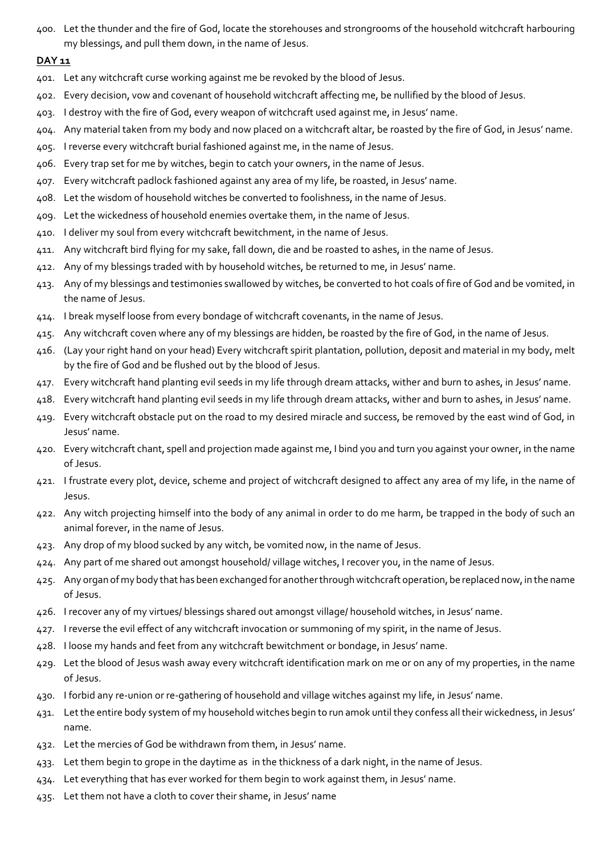400. Let the thunder and the fire of God, locate the storehouses and strongrooms of the household witchcraft harbouring my blessings, and pull them down, in the name of Jesus.

- 401. Let any witchcraft curse working against me be revoked by the blood of Jesus.
- 402. Every decision, vow and covenant of household witchcraft affecting me, be nullified by the blood of Jesus.
- 403. I destroy with the fire of God, every weapon of witchcraft used against me, in Jesus' name.
- 404. Any material taken from my body and now placed on a witchcraft altar, be roasted by the fire of God, in Jesus' name.
- 405. I reverse every witchcraft burial fashioned against me, in the name of Jesus.
- 406. Every trap set for me by witches, begin to catch your owners, in the name of Jesus.
- 407. Every witchcraft padlock fashioned against any area of my life, be roasted, in Jesus' name.
- 408. Let the wisdom of household witches be converted to foolishness, in the name of Jesus.
- 409. Let the wickedness of household enemies overtake them, in the name of Jesus.
- 410. I deliver my soul from every witchcraft bewitchment, in the name of Jesus.
- 411. Any witchcraft bird flying for my sake, fall down, die and be roasted to ashes, in the name of Jesus.
- 412. Any of my blessings traded with by household witches, be returned to me, in Jesus' name.
- 413. Any of my blessings and testimonies swallowed by witches, be converted to hot coals of fire of God and be vomited, in the name of Jesus.
- 414. I break myself loose from every bondage of witchcraft covenants, in the name of Jesus.
- 415. Any witchcraft coven where any of my blessings are hidden, be roasted by the fire of God, in the name of Jesus.
- 416. (Lay your right hand on your head) Every witchcraft spirit plantation, pollution, deposit and material in my body, melt by the fire of God and be flushed out by the blood of Jesus.
- 417. Every witchcraft hand planting evil seeds in my life through dream attacks, wither and burn to ashes, in Jesus' name.
- 418. Every witchcraft hand planting evil seeds in my life through dream attacks, wither and burn to ashes, in Jesus' name.
- 419. Every witchcraft obstacle put on the road to my desired miracle and success, be removed by the east wind of God, in Jesus' name.
- 420. Every witchcraft chant, spell and projection made against me, I bind you and turn you against your owner, in the name of Jesus.
- 421. I frustrate every plot, device, scheme and project of witchcraft designed to affect any area of my life, in the name of Jesus.
- 422. Any witch projecting himself into the body of any animal in order to do me harm, be trapped in the body of such an animal forever, in the name of Jesus.
- 423. Any drop of my blood sucked by any witch, be vomited now, in the name of Jesus.
- 424. Any part of me shared out amongst household/ village witches, I recover you, in the name of Jesus.
- 425. Any organ of my body that has been exchanged for another through witchcraft operation, be replaced now, in the name of Jesus.
- 426. I recover any of my virtues/ blessings shared out amongst village/ household witches, in Jesus' name.
- 427. I reverse the evil effect of any witchcraft invocation or summoning of my spirit, in the name of Jesus.
- 428. I loose my hands and feet from any witchcraft bewitchment or bondage, in Jesus' name.
- 429. Let the blood of Jesus wash away every witchcraft identification mark on me or on any of my properties, in the name of Jesus.
- 430. I forbid any re-union or re-gathering of household and village witches against my life, in Jesus' name.
- 431. Let the entire body system of my household witches begin to run amok until they confess all their wickedness, in Jesus' name.
- 432. Let the mercies of God be withdrawn from them, in Jesus' name.
- 433. Let them begin to grope in the daytime as in the thickness of a dark night, in the name of Jesus.
- 434. Let everything that has ever worked for them begin to work against them, in Jesus' name.
- 435. Let them not have a cloth to cover their shame, in Jesus' name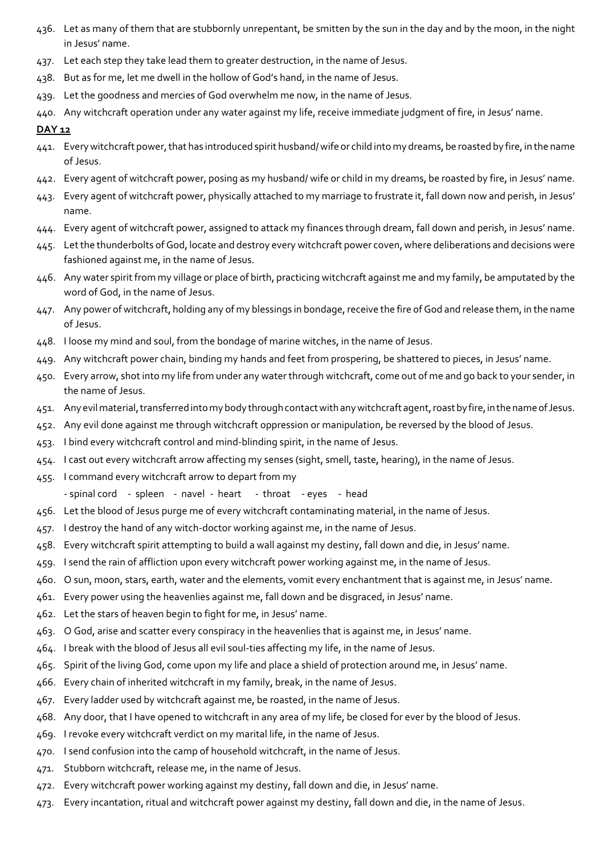- 436. Let as many of them that are stubbornly unrepentant, be smitten by the sun in the day and by the moon, in the night in Jesus' name.
- 437. Let each step they take lead them to greater destruction, in the name of Jesus.
- 438. But as for me, let me dwell in the hollow of God's hand, in the name of Jesus.
- 439. Let the goodness and mercies of God overwhelm me now, in the name of Jesus.
- 440. Any witchcraft operation under any water against my life, receive immediate judgment of fire, in Jesus' name.

- 441. Every witchcraft power, that has introduced spirit husband/ wife or child into my dreams, be roasted by fire, in the name of Jesus.
- 442. Every agent of witchcraft power, posing as my husband/ wife or child in my dreams, be roasted by fire, in Jesus' name.
- 443. Every agent of witchcraft power, physically attached to my marriage to frustrate it, fall down now and perish, in Jesus' name.
- 444. Every agent of witchcraft power, assigned to attack my finances through dream, fall down and perish, in Jesus' name.
- 445. Let the thunderbolts of God, locate and destroy every witchcraft power coven, where deliberations and decisions were fashioned against me, in the name of Jesus.
- 446. Any water spirit from my village or place of birth, practicing witchcraft against me and my family, be amputated by the word of God, in the name of Jesus.
- 447. Any power of witchcraft, holding any of my blessings in bondage, receive the fire of God and release them, in the name of Jesus.
- 448. I loose my mind and soul, from the bondage of marine witches, in the name of Jesus.
- 449. Any witchcraft power chain, binding my hands and feet from prospering, be shattered to pieces, in Jesus' name.
- 450. Every arrow, shot into my life from under any water through witchcraft, come out of me and go back to your sender, in the name of Jesus.
- 451. Any evil material, transferred into my body through contact with any witchcraft agent, roast by fire, in the name of Jesus.
- 452. Any evil done against me through witchcraft oppression or manipulation, be reversed by the blood of Jesus.
- 453. I bind every witchcraft control and mind-blinding spirit, in the name of Jesus.
- 454. I cast out every witchcraft arrow affecting my senses (sight, smell, taste, hearing), in the name of Jesus.
- 455. I command every witchcraft arrow to depart from my
	- spinal cord spleen navel heart throat eyes head
- 456. Let the blood of Jesus purge me of every witchcraft contaminating material, in the name of Jesus.
- 457. I destroy the hand of any witch-doctor working against me, in the name of Jesus.
- 458. Every witchcraft spirit attempting to build a wall against my destiny, fall down and die, in Jesus' name.
- 459. I send the rain of affliction upon every witchcraft power working against me, in the name of Jesus.
- 460. O sun, moon, stars, earth, water and the elements, vomit every enchantment that is against me, in Jesus' name.
- 461. Every power using the heavenlies against me, fall down and be disgraced, in Jesus' name.
- 462. Let the stars of heaven begin to fight for me, in Jesus' name.
- 463. O God, arise and scatter every conspiracy in the heavenlies that is against me, in Jesus' name.
- 464. I break with the blood of Jesus all evil soul-ties affecting my life, in the name of Jesus.
- 465. Spirit of the living God, come upon my life and place a shield of protection around me, in Jesus' name.
- 466. Every chain of inherited witchcraft in my family, break, in the name of Jesus.
- 467. Every ladder used by witchcraft against me, be roasted, in the name of Jesus.
- 468. Any door, that I have opened to witchcraft in any area of my life, be closed for ever by the blood of Jesus.
- 469. I revoke every witchcraft verdict on my marital life, in the name of Jesus.
- 470. I send confusion into the camp of household witchcraft, in the name of Jesus.
- 471. Stubborn witchcraft, release me, in the name of Jesus.
- 472. Every witchcraft power working against my destiny, fall down and die, in Jesus' name.
- 473. Every incantation, ritual and witchcraft power against my destiny, fall down and die, in the name of Jesus.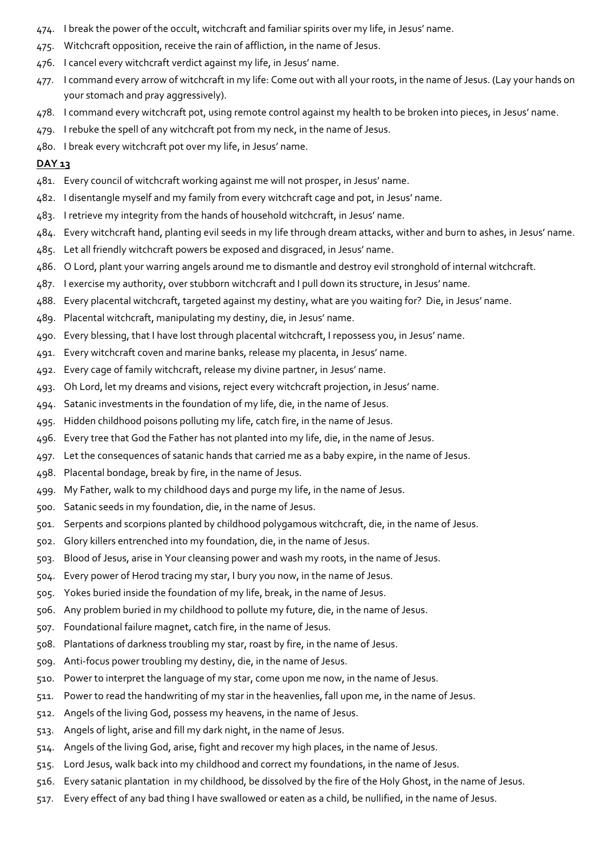- 474. I break the power of the occult, witchcraft and familiar spirits over my life, in Jesus' name.
- 475. Witchcraft opposition, receive the rain of affliction, in the name of Jesus.
- 476. I cancel every witchcraft verdict against my life, in Jesus' name.
- 477. I command every arrow of witchcraft in my life: Come out with all your roots, in the name of Jesus. (Lay your hands on your stomach and pray aggressively).
- 478. I command every witchcraft pot, using remote control against my health to be broken into pieces, in Jesus' name.
- 479. I rebuke the spell of any witchcraft pot from my neck, in the name of Jesus.
- 480. I break every witchcraft pot over my life, in Jesus' name.

- 481. Every council of witchcraft working against me will not prosper, in Jesus' name.
- 482. I disentangle myself and my family from every witchcraft cage and pot, in Jesus' name.
- 483. I retrieve my integrity from the hands of household witchcraft, in Jesus' name.
- 484. Every witchcraft hand, planting evil seeds in my life through dream attacks, wither and burn to ashes, in Jesus' name.
- 485. Let all friendly witchcraft powers be exposed and disgraced, in Jesus' name.
- 486. O Lord, plant your warring angels around me to dismantle and destroy evil stronghold of internal witchcraft.
- 487. I exercise my authority, over stubborn witchcraft and I pull down its structure, in Jesus' name.
- 488. Every placental witchcraft, targeted against my destiny, what are you waiting for? Die, in Jesus' name.
- 489. Placental witchcraft, manipulating my destiny, die, in Jesus' name.
- 490. Every blessing, that I have lost through placental witchcraft, I repossess you, in Jesus' name.
- 491. Every witchcraft coven and marine banks, release my placenta, in Jesus' name.
- 492. Every cage of family witchcraft, release my divine partner, in Jesus' name.
- 493. Oh Lord, let my dreams and visions, reject every witchcraft projection, in Jesus' name.
- 494. Satanic investments in the foundation of my life, die, in the name of Jesus.
- 495. Hidden childhood poisons polluting my life, catch fire, in the name of Jesus.
- 496. Every tree that God the Father has not planted into my life, die, in the name of Jesus.
- 497. Let the consequences of satanic hands that carried me as a baby expire, in the name of Jesus.
- 498. Placental bondage, break by fire, in the name of Jesus.
- 499. My Father, walk to my childhood days and purge my life, in the name of Jesus.
- 500. Satanic seeds in my foundation, die, in the name of Jesus.
- 501. Serpents and scorpions planted by childhood polygamous witchcraft, die, in the name of Jesus.
- 502. Glory killers entrenched into my foundation, die, in the name of Jesus.
- 503. Blood of Jesus, arise in Your cleansing power and wash my roots, in the name of Jesus.
- 504. Every power of Herod tracing my star, I bury you now, in the name of Jesus.
- 505. Yokes buried inside the foundation of my life, break, in the name of Jesus.
- 506. Any problem buried in my childhood to pollute my future, die, in the name of Jesus.
- 507. Foundational failure magnet, catch fire, in the name of Jesus.
- 508. Plantations of darkness troubling my star, roast by fire, in the name of Jesus.
- 509. Anti-focus power troubling my destiny, die, in the name of Jesus.
- 510. Power to interpret the language of my star, come upon me now, in the name of Jesus.
- 511. Power to read the handwriting of my star in the heavenlies, fall upon me, in the name of Jesus.
- 512. Angels of the living God, possess my heavens, in the name of Jesus.
- 513. Angels of light, arise and fill my dark night, in the name of Jesus.
- 514. Angels of the living God, arise, fight and recover my high places, in the name of Jesus.
- 515. Lord Jesus, walk back into my childhood and correct my foundations, in the name of Jesus.
- 516. Every satanic plantation in my childhood, be dissolved by the fire of the Holy Ghost, in the name of Jesus.
- 517. Every effect of any bad thing I have swallowed or eaten as a child, be nullified, in the name of Jesus.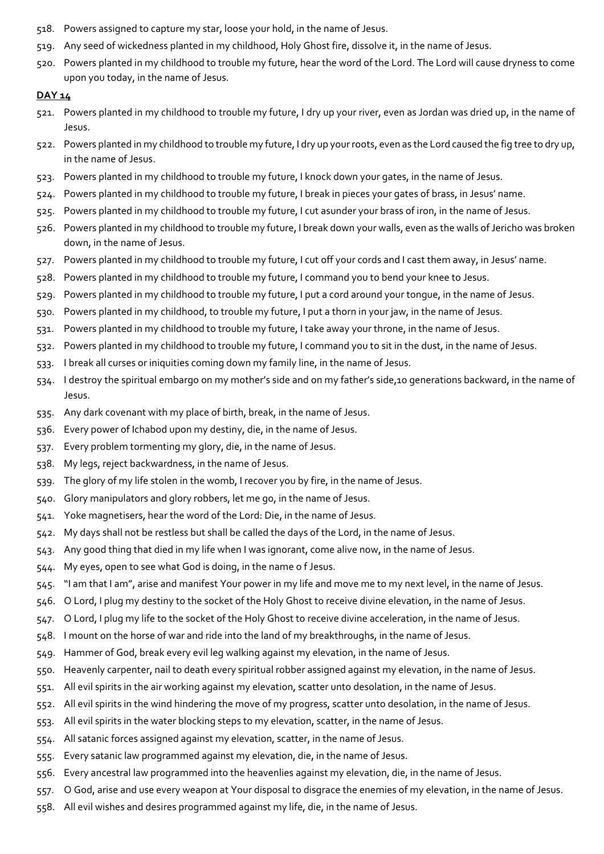- 518. Powers assigned to capture my star, loose your hold, in the name of Jesus.
- 519. Any seed of wickedness planted in my childhood, Holy Ghost fire, dissolve it, in the name of Jesus.
- 520. Powers planted in my childhood to trouble my future, hear the word of the Lord. The Lord will cause dryness to come upon you today, in the name of Jesus.

- 521. Powers planted in my childhood to trouble my future, I dry up your river, even as Jordan was dried up, in the name of Jesus.
- 522. Powers planted in my childhood to trouble my future, I dry up your roots, even as the Lord caused the fig tree to dry up, in the name of Jesus.
- 523. Powers planted in my childhood to trouble my future, I knock down your gates, in the name of Jesus.
- 524. Powers planted in my childhood to trouble my future, I break in pieces your gates of brass, in Jesus' name.
- 525. Powers planted in my childhood to trouble my future, I cut asunder your brass of iron, in the name of Jesus.
- 526. Powers planted in my childhood to trouble my future, I break down your walls, even as the walls of Jericho was broken down, in the name of Jesus.
- 527. Powers planted in my childhood to trouble my future, I cut off your cords and I cast them away, in Jesus' name.
- 528. Powers planted in my childhood to trouble my future, I command you to bend your knee to Jesus.
- 529. Powers planted in my childhood to trouble my future, I put a cord around your tongue, in the name of Jesus.
- 530. Powers planted in my childhood, to trouble my future, I put a thorn in your jaw, in the name of Jesus.
- 531. Powers planted in my childhood to trouble my future, I take away your throne, in the name of Jesus.
- 532. Powers planted in my childhood to trouble my future, I command you to sit in the dust, in the name of Jesus.
- 533. I break all curses or iniquities coming down my family line, in the name of Jesus.
- 534. I destroy the spiritual embargo on my mother's side and on my father's side,10 generations backward, in the name of Jesus.
- 535. Any dark covenant with my place of birth, break, in the name of Jesus.
- 536. Every power of Ichabod upon my destiny, die, in the name of Jesus.
- 537. Every problem tormenting my glory, die, in the name of Jesus.
- 538. My legs, reject backwardness, in the name of Jesus.
- 539. The glory of my life stolen in the womb, I recover you by fire, in the name of Jesus.
- 540. Glory manipulators and glory robbers, let me go, in the name of Jesus.
- 541. Yoke magnetisers, hear the word of the Lord: Die, in the name of Jesus.
- 542. My days shall not be restless but shall be called the days of the Lord, in the name of Jesus.
- 543. Any good thing that died in my life when I was ignorant, come alive now, in the name of Jesus.
- 544. My eyes, open to see what God is doing, in the name o f Jesus.
- 545. "I am that I am", arise and manifest Your power in my life and move me to my next level, in the name of Jesus.
- 546. O Lord, I plug my destiny to the socket of the Holy Ghost to receive divine elevation, in the name of Jesus.
- 547. O Lord, I plug my life to the socket of the Holy Ghost to receive divine acceleration, in the name of Jesus.
- 548. I mount on the horse of war and ride into the land of my breakthroughs, in the name of Jesus.
- 549. Hammer of God, break every evil leg walking against my elevation, in the name of Jesus.
- 550. Heavenly carpenter, nail to death every spiritual robber assigned against my elevation, in the name of Jesus.
- 551. All evil spirits in the air working against my elevation, scatter unto desolation, in the name of Jesus.
- 552. All evil spirits in the wind hindering the move of my progress, scatter unto desolation, in the name of Jesus.
- 553. All evil spirits in the water blocking steps to my elevation, scatter, in the name of Jesus.
- 554. All satanic forces assigned against my elevation, scatter, in the name of Jesus.
- 555. Every satanic law programmed against my elevation, die, in the name of Jesus.
- 556. Every ancestral law programmed into the heavenlies against my elevation, die, in the name of Jesus.
- 557. O God, arise and use every weapon at Your disposal to disgrace the enemies of my elevation, in the name of Jesus.
- 558. All evil wishes and desires programmed against my life, die, in the name of Jesus.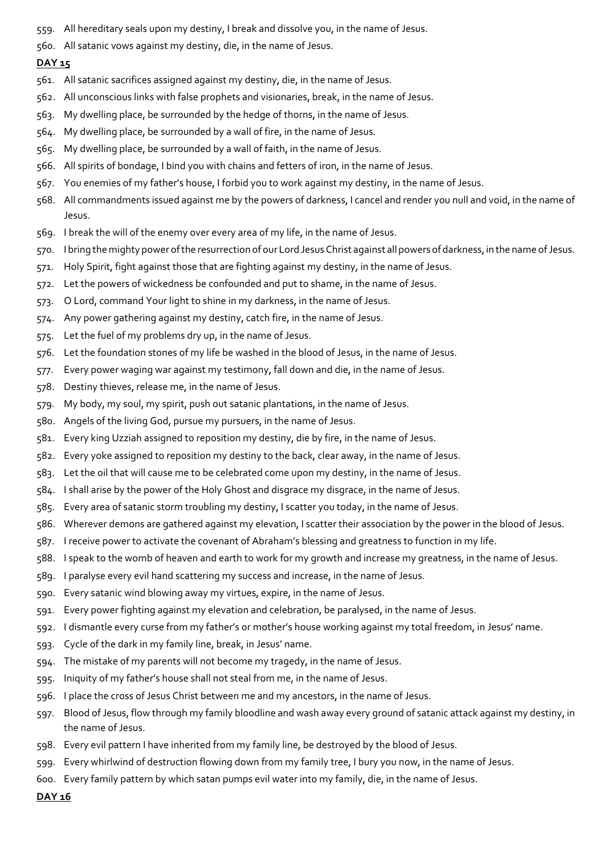- 559. All hereditary seals upon my destiny, I break and dissolve you, in the name of Jesus.
- 560. All satanic vows against my destiny, die, in the name of Jesus.

- 561. All satanic sacrifices assigned against my destiny, die, in the name of Jesus.
- 562. All unconscious links with false prophets and visionaries, break, in the name of Jesus.
- 563. My dwelling place, be surrounded by the hedge of thorns, in the name of Jesus.
- 564. My dwelling place, be surrounded by a wall of fire, in the name of Jesus.
- 565. My dwelling place, be surrounded by a wall of faith, in the name of Jesus.
- 566. All spirits of bondage, I bind you with chains and fetters of iron, in the name of Jesus.
- 567. You enemies of my father's house, I forbid you to work against my destiny, in the name of Jesus.
- 568. All commandments issued against me by the powers of darkness, I cancel and render you null and void, in the name of Jesus.
- 569. I break the will of the enemy over every area of my life, in the name of Jesus.
- 570. I bring the mighty power of the resurrection of our Lord Jesus Christ against all powers of darkness, in the name of Jesus.
- 571. Holy Spirit, fight against those that are fighting against my destiny, in the name of Jesus.
- 572. Let the powers of wickedness be confounded and put to shame, in the name of Jesus.
- 573. O Lord, command Your light to shine in my darkness, in the name of Jesus.
- 574. Any power gathering against my destiny, catch fire, in the name of Jesus.
- 575. Let the fuel of my problems dry up, in the name of Jesus.
- 576. Let the foundation stones of my life be washed in the blood of Jesus, in the name of Jesus.
- 577. Every power waging war against my testimony, fall down and die, in the name of Jesus.
- 578. Destiny thieves, release me, in the name of Jesus.
- 579. My body, my soul, my spirit, push out satanic plantations, in the name of Jesus.
- 580. Angels of the living God, pursue my pursuers, in the name of Jesus.
- 581. Every king Uzziah assigned to reposition my destiny, die by fire, in the name of Jesus.
- 582. Every yoke assigned to reposition my destiny to the back, clear away, in the name of Jesus.
- 583. Let the oil that will cause me to be celebrated come upon my destiny, in the name of Jesus.
- 584. I shall arise by the power of the Holy Ghost and disgrace my disgrace, in the name of Jesus.
- 585. Every area of satanic storm troubling my destiny, I scatter you today, in the name of Jesus.
- 586. Wherever demons are gathered against my elevation, I scatter their association by the power in the blood of Jesus.
- 587. I receive power to activate the covenant of Abraham's blessing and greatness to function in my life.
- 588. I speak to the womb of heaven and earth to work for my growth and increase my greatness, in the name of Jesus.
- 589. I paralyse every evil hand scattering my success and increase, in the name of Jesus.
- 590. Every satanic wind blowing away my virtues, expire, in the name of Jesus.
- 591. Every power fighting against my elevation and celebration, be paralysed, in the name of Jesus.
- 592. I dismantle every curse from my father's or mother's house working against my total freedom, in Jesus' name.
- 593. Cycle of the dark in my family line, break, in Jesus' name.
- 594. The mistake of my parents will not become my tragedy, in the name of Jesus.
- 595. Iniquity of my father's house shall not steal from me, in the name of Jesus.
- 596. I place the cross of Jesus Christ between me and my ancestors, in the name of Jesus.
- 597. Blood of Jesus, flow through my family bloodline and wash away every ground of satanic attack against my destiny, in the name of Jesus.
- 598. Every evil pattern I have inherited from my family line, be destroyed by the blood of Jesus.
- 599. Every whirlwind of destruction flowing down from my family tree, I bury you now, in the name of Jesus.
- 600. Every family pattern by which satan pumps evil water into my family, die, in the name of Jesus.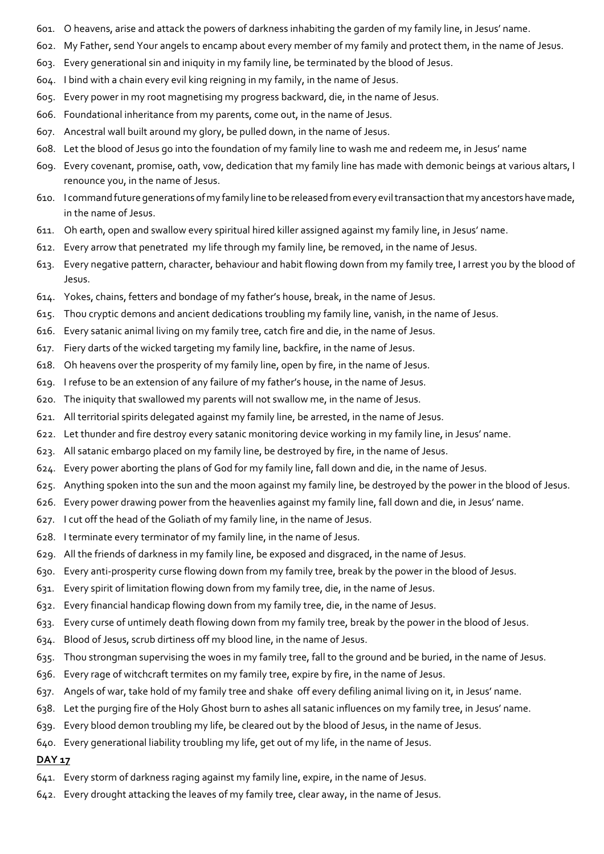- 601. O heavens, arise and attack the powers of darkness inhabiting the garden of my family line, in Jesus' name.
- 602. My Father, send Your angels to encamp about every member of my family and protect them, in the name of Jesus.
- 603. Every generational sin and iniquity in my family line, be terminated by the blood of Jesus.
- 604. I bind with a chain every evil king reigning in my family, in the name of Jesus.
- 605. Every power in my root magnetising my progress backward, die, in the name of Jesus.
- 606. Foundational inheritance from my parents, come out, in the name of Jesus.
- 607. Ancestral wall built around my glory, be pulled down, in the name of Jesus.
- 608. Let the blood of Jesus go into the foundation of my family line to wash me and redeem me, in Jesus' name
- 609. Every covenant, promise, oath, vow, dedication that my family line has made with demonic beings at various altars, I renounce you, in the name of Jesus.
- 610. I command future generations of my family line to be released from every evil transaction that my ancestors have made, in the name of Jesus.
- 611. Oh earth, open and swallow every spiritual hired killer assigned against my family line, in Jesus' name.
- 612. Every arrow that penetrated my life through my family line, be removed, in the name of Jesus.
- 613. Every negative pattern, character, behaviour and habit flowing down from my family tree, I arrest you by the blood of Jesus.
- 614. Yokes, chains, fetters and bondage of my father's house, break, in the name of Jesus.
- 615. Thou cryptic demons and ancient dedications troubling my family line, vanish, in the name of Jesus.
- 616. Every satanic animal living on my family tree, catch fire and die, in the name of Jesus.
- 617. Fiery darts of the wicked targeting my family line, backfire, in the name of Jesus.
- 618. Oh heavens over the prosperity of my family line, open by fire, in the name of Jesus.
- 619. I refuse to be an extension of any failure of my father's house, in the name of Jesus.
- 620. The iniquity that swallowed my parents will not swallow me, in the name of Jesus.
- 621. All territorial spirits delegated against my family line, be arrested, in the name of Jesus.
- 622. Let thunder and fire destroy every satanic monitoring device working in my family line, in Jesus' name.
- 623. All satanic embargo placed on my family line, be destroyed by fire, in the name of Jesus.
- 624. Every power aborting the plans of God for my family line, fall down and die, in the name of Jesus.
- 625. Anything spoken into the sun and the moon against my family line, be destroyed by the power in the blood of Jesus.
- 626. Every power drawing power from the heavenlies against my family line, fall down and die, in Jesus' name.
- 627. I cut off the head of the Goliath of my family line, in the name of Jesus.
- 628. I terminate every terminator of my family line, in the name of Jesus.
- 629. All the friends of darkness in my family line, be exposed and disgraced, in the name of Jesus.
- 630. Every anti-prosperity curse flowing down from my family tree, break by the power in the blood of Jesus.
- 631. Every spirit of limitation flowing down from my family tree, die, in the name of Jesus.
- 632. Every financial handicap flowing down from my family tree, die, in the name of Jesus.
- 633. Every curse of untimely death flowing down from my family tree, break by the power in the blood of Jesus.
- 634. Blood of Jesus, scrub dirtiness off my blood line, in the name of Jesus.
- 635. Thou strongman supervising the woes in my family tree, fall to the ground and be buried, in the name of Jesus.
- 636. Every rage of witchcraft termites on my family tree, expire by fire, in the name of Jesus.
- 637. Angels of war, take hold of my family tree and shake off every defiling animal living on it, in Jesus' name.
- 638. Let the purging fire of the Holy Ghost burn to ashes all satanic influences on my family tree, in Jesus' name.
- 639. Every blood demon troubling my life, be cleared out by the blood of Jesus, in the name of Jesus.
- 640. Every generational liability troubling my life, get out of my life, in the name of Jesus.

- 641. Every storm of darkness raging against my family line, expire, in the name of Jesus.
- 642. Every drought attacking the leaves of my family tree, clear away, in the name of Jesus.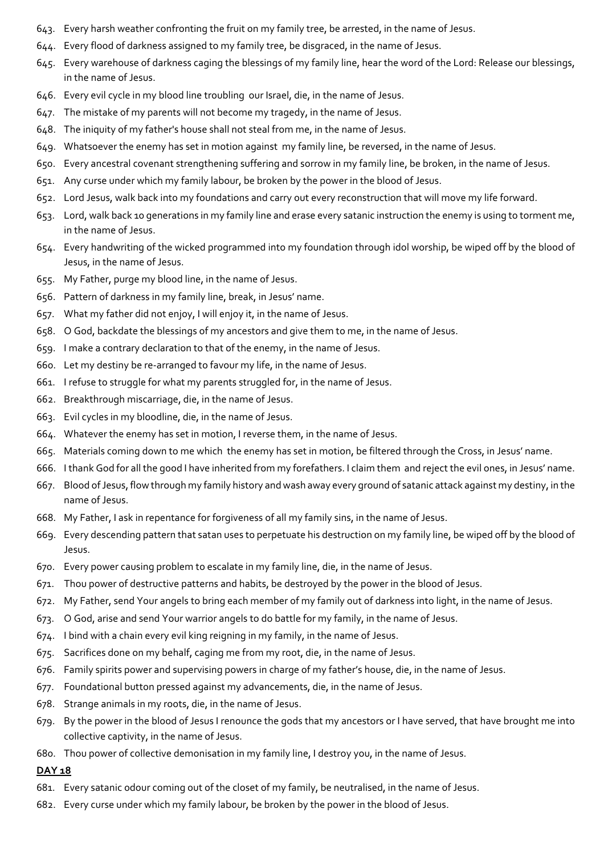- 643. Every harsh weather confronting the fruit on my family tree, be arrested, in the name of Jesus.
- 644. Every flood of darkness assigned to my family tree, be disgraced, in the name of Jesus.
- 645. Every warehouse of darkness caging the blessings of my family line, hear the word of the Lord: Release our blessings, in the name of Jesus.
- 646. Every evil cycle in my blood line troubling our Israel, die, in the name of Jesus.
- 647. The mistake of my parents will not become my tragedy, in the name of Jesus.
- 648. The iniquity of my father's house shall not steal from me, in the name of Jesus.
- 649. Whatsoever the enemy has set in motion against my family line, be reversed, in the name of Jesus.
- 650. Every ancestral covenant strengthening suffering and sorrow in my family line, be broken, in the name of Jesus.
- 651. Any curse under which my family labour, be broken by the power in the blood of Jesus.
- 652. Lord Jesus, walk back into my foundations and carry out every reconstruction that will move my life forward.
- 653. Lord, walk back 10 generations in my family line and erase every satanic instruction the enemy is using to torment me, in the name of Jesus.
- 654. Every handwriting of the wicked programmed into my foundation through idol worship, be wiped off by the blood of Jesus, in the name of Jesus.
- 655. My Father, purge my blood line, in the name of Jesus.
- 656. Pattern of darkness in my family line, break, in Jesus' name.
- 657. What my father did not enjoy, I will enjoy it, in the name of Jesus.
- 658. O God, backdate the blessings of my ancestors and give them to me, in the name of Jesus.
- 659. I make a contrary declaration to that of the enemy, in the name of Jesus.
- 660. Let my destiny be re-arranged to favour my life, in the name of Jesus.
- 661. I refuse to struggle for what my parents struggled for, in the name of Jesus.
- 662. Breakthrough miscarriage, die, in the name of Jesus.
- 663. Evil cycles in my bloodline, die, in the name of Jesus.
- 664. Whatever the enemy has set in motion, I reverse them, in the name of Jesus.
- 665. Materials coming down to me which the enemy has set in motion, be filtered through the Cross, in Jesus' name.
- 666. I thank God for all the good I have inherited from my forefathers. I claim them and reject the evil ones, in Jesus' name.
- 667. Blood of Jesus, flow through my family history and wash away every ground of satanic attack against my destiny, in the name of Jesus.
- 668. My Father, I ask in repentance for forgiveness of all my family sins, in the name of Jesus.
- 669. Every descending pattern that satan uses to perpetuate his destruction on my family line, be wiped off by the blood of Jesus.
- 670. Every power causing problem to escalate in my family line, die, in the name of Jesus.
- 671. Thou power of destructive patterns and habits, be destroyed by the power in the blood of Jesus.
- 672. My Father, send Your angels to bring each member of my family out of darkness into light, in the name of Jesus.
- 673. O God, arise and send Your warrior angels to do battle for my family, in the name of Jesus.
- 674. I bind with a chain every evil king reigning in my family, in the name of Jesus.
- 675. Sacrifices done on my behalf, caging me from my root, die, in the name of Jesus.
- 676. Family spirits power and supervising powers in charge of my father's house, die, in the name of Jesus.
- 677. Foundational button pressed against my advancements, die, in the name of Jesus.
- 678. Strange animals in my roots, die, in the name of Jesus.
- 679. By the power in the blood of Jesus I renounce the gods that my ancestors or I have served, that have brought me into collective captivity, in the name of Jesus.
- 680. Thou power of collective demonisation in my family line, I destroy you, in the name of Jesus.

- 681. Every satanic odour coming out of the closet of my family, be neutralised, in the name of Jesus.
- 682. Every curse under which my family labour, be broken by the power in the blood of Jesus.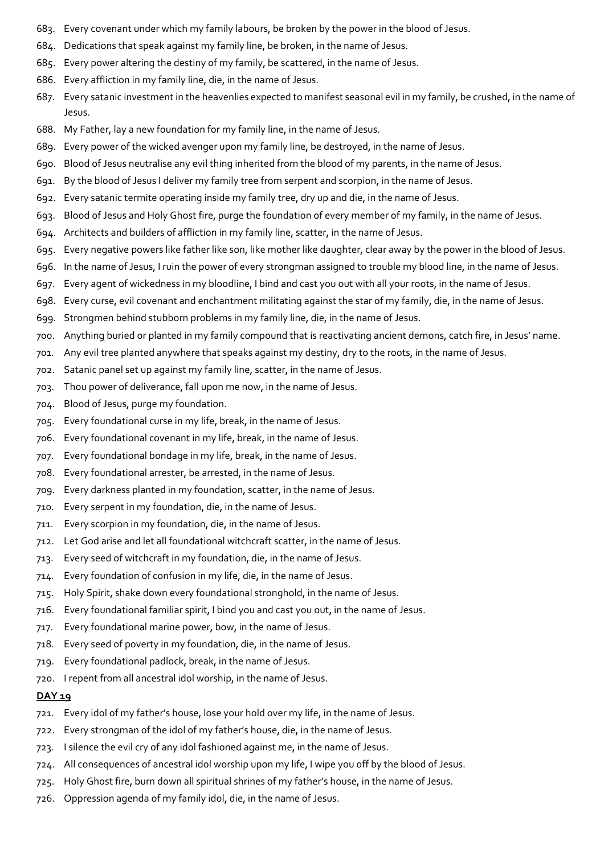- 683. Every covenant under which my family labours, be broken by the power in the blood of Jesus.
- 684. Dedications that speak against my family line, be broken, in the name of Jesus.
- 685. Every power altering the destiny of my family, be scattered, in the name of Jesus.
- 686. Every affliction in my family line, die, in the name of Jesus.
- 687. Every satanic investment in the heavenlies expected to manifest seasonal evil in my family, be crushed, in the name of Jesus.
- 688. My Father, lay a new foundation for my family line, in the name of Jesus.
- 689. Every power of the wicked avenger upon my family line, be destroyed, in the name of Jesus.
- 690. Blood of Jesus neutralise any evil thing inherited from the blood of my parents, in the name of Jesus.
- 691. By the blood of Jesus I deliver my family tree from serpent and scorpion, in the name of Jesus.
- 692. Every satanic termite operating inside my family tree, dry up and die, in the name of Jesus.
- 693. Blood of Jesus and Holy Ghost fire, purge the foundation of every member of my family, in the name of Jesus.
- 694. Architects and builders of affliction in my family line, scatter, in the name of Jesus.
- 695. Every negative powers like father like son, like mother like daughter, clear away by the power in the blood of Jesus.
- 696. In the name of Jesus, I ruin the power of every strongman assigned to trouble my blood line, in the name of Jesus.
- 697. Every agent of wickedness in my bloodline, I bind and cast you out with all your roots, in the name of Jesus.
- 698. Every curse, evil covenant and enchantment militating against the star of my family, die, in the name of Jesus.
- 699. Strongmen behind stubborn problems in my family line, die, in the name of Jesus.
- 700. Anything buried or planted in my family compound that is reactivating ancient demons, catch fire, in Jesus' name.
- 701. Any evil tree planted anywhere that speaks against my destiny, dry to the roots, in the name of Jesus.
- 702. Satanic panel set up against my family line, scatter, in the name of Jesus.
- 703. Thou power of deliverance, fall upon me now, in the name of Jesus.
- 704. Blood of Jesus, purge my foundation.
- 705. Every foundational curse in my life, break, in the name of Jesus.
- 706. Every foundational covenant in my life, break, in the name of Jesus.
- 707. Every foundational bondage in my life, break, in the name of Jesus.
- 708. Every foundational arrester, be arrested, in the name of Jesus.
- 709. Every darkness planted in my foundation, scatter, in the name of Jesus.
- 710. Every serpent in my foundation, die, in the name of Jesus.
- 711. Every scorpion in my foundation, die, in the name of Jesus.
- 712. Let God arise and let all foundational witchcraft scatter, in the name of Jesus.
- 713. Every seed of witchcraft in my foundation, die, in the name of Jesus.
- 714. Every foundation of confusion in my life, die, in the name of Jesus.
- 715. Holy Spirit, shake down every foundational stronghold, in the name of Jesus.
- 716. Every foundational familiar spirit, I bind you and cast you out, in the name of Jesus.
- 717. Every foundational marine power, bow, in the name of Jesus.
- 718. Every seed of poverty in my foundation, die, in the name of Jesus.
- 719. Every foundational padlock, break, in the name of Jesus.
- 720. I repent from all ancestral idol worship, in the name of Jesus.

- 721. Every idol of my father's house, lose your hold over my life, in the name of Jesus.
- 722. Every strongman of the idol of my father's house, die, in the name of Jesus.
- 723. I silence the evil cry of any idol fashioned against me, in the name of Jesus.
- 724. All consequences of ancestral idol worship upon my life, I wipe you off by the blood of Jesus.
- 725. Holy Ghost fire, burn down all spiritual shrines of my father's house, in the name of Jesus.
- 726. Oppression agenda of my family idol, die, in the name of Jesus.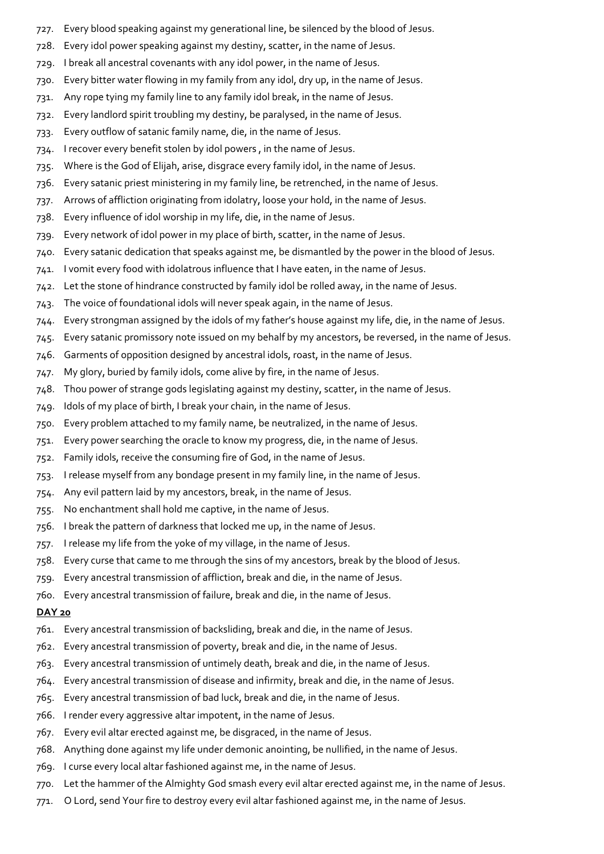- 727. Every blood speaking against my generational line, be silenced by the blood of Jesus.
- 728. Every idol power speaking against my destiny, scatter, in the name of Jesus.
- 729. I break all ancestral covenants with any idol power, in the name of Jesus.
- 730. Every bitter water flowing in my family from any idol, dry up, in the name of Jesus.
- 731. Any rope tying my family line to any family idol break, in the name of Jesus.
- 732. Every landlord spirit troubling my destiny, be paralysed, in the name of Jesus.
- 733. Every outflow of satanic family name, die, in the name of Jesus.
- 734. I recover every benefit stolen by idol powers , in the name of Jesus.
- 735. Where is the God of Elijah, arise, disgrace every family idol, in the name of Jesus.
- 736. Every satanic priest ministering in my family line, be retrenched, in the name of Jesus.
- 737. Arrows of affliction originating from idolatry, loose your hold, in the name of Jesus.
- 738. Every influence of idol worship in my life, die, in the name of Jesus.
- 739. Every network of idol power in my place of birth, scatter, in the name of Jesus.
- 740. Every satanic dedication that speaks against me, be dismantled by the power in the blood of Jesus.
- 741. I vomit every food with idolatrous influence that I have eaten, in the name of Jesus.
- 742. Let the stone of hindrance constructed by family idol be rolled away, in the name of Jesus.
- 743. The voice of foundational idols will never speak again, in the name of Jesus.
- 744. Every strongman assigned by the idols of my father's house against my life, die, in the name of Jesus.
- 745. Every satanic promissory note issued on my behalf by my ancestors, be reversed, in the name of Jesus.
- 746. Garments of opposition designed by ancestral idols, roast, in the name of Jesus.
- 747. My glory, buried by family idols, come alive by fire, in the name of Jesus.
- 748. Thou power of strange gods legislating against my destiny, scatter, in the name of Jesus.
- 749. Idols of my place of birth, I break your chain, in the name of Jesus.
- 750. Every problem attached to my family name, be neutralized, in the name of Jesus.
- 751. Every power searching the oracle to know my progress, die, in the name of Jesus.
- 752. Family idols, receive the consuming fire of God, in the name of Jesus.
- 753. I release myself from any bondage present in my family line, in the name of Jesus.
- 754. Any evil pattern laid by my ancestors, break, in the name of Jesus.
- 755. No enchantment shall hold me captive, in the name of Jesus.
- 756. I break the pattern of darkness that locked me up, in the name of Jesus.
- 757. I release my life from the yoke of my village, in the name of Jesus.
- 758. Every curse that came to me through the sins of my ancestors, break by the blood of Jesus.
- 759. Every ancestral transmission of affliction, break and die, in the name of Jesus.
- 760. Every ancestral transmission of failure, break and die, in the name of Jesus.

## DAY<sub>20</sub>

- 761. Every ancestral transmission of backsliding, break and die, in the name of Jesus.
- 762. Every ancestral transmission of poverty, break and die, in the name of Jesus.
- 763. Every ancestral transmission of untimely death, break and die, in the name of Jesus.
- 764. Every ancestral transmission of disease and infirmity, break and die, in the name of Jesus.
- 765. Every ancestral transmission of bad luck, break and die, in the name of Jesus.
- 766. I render every aggressive altar impotent, in the name of Jesus.
- 767. Every evil altar erected against me, be disgraced, in the name of Jesus.
- 768. Anything done against my life under demonic anointing, be nullified, in the name of Jesus.
- 769. I curse every local altar fashioned against me, in the name of Jesus.
- 770. Let the hammer of the Almighty God smash every evil altar erected against me, in the name of Jesus.
- 771. O Lord, send Your fire to destroy every evil altar fashioned against me, in the name of Jesus.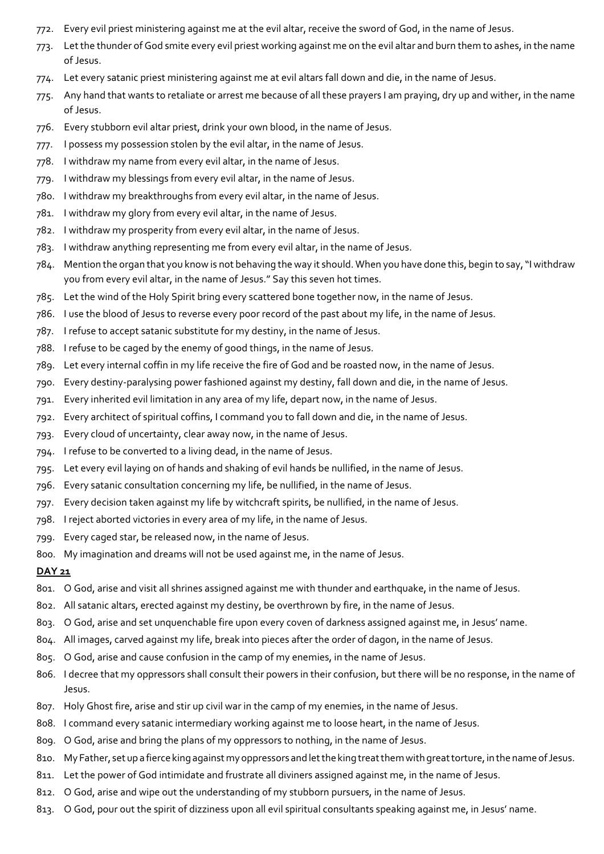- 772. Every evil priest ministering against me at the evil altar, receive the sword of God, in the name of Jesus.
- 773. Let the thunder of God smite every evil priest working against me on the evil altar and burn them to ashes, in the name of Jesus.
- 774. Let every satanic priest ministering against me at evil altars fall down and die, in the name of Jesus.
- 775. Any hand that wants to retaliate or arrest me because of all these prayers I am praying, dry up and wither, in the name of Jesus.
- 776. Every stubborn evil altar priest, drink your own blood, in the name of Jesus.
- 777. I possess my possession stolen by the evil altar, in the name of Jesus.
- 778. I withdraw my name from every evil altar, in the name of Jesus.
- 779. I withdraw my blessings from every evil altar, in the name of Jesus.
- 780. I withdraw my breakthroughs from every evil altar, in the name of Jesus.
- 781. I withdraw my glory from every evil altar, in the name of Jesus.
- 782. I withdraw my prosperity from every evil altar, in the name of Jesus.
- 783. I withdraw anything representing me from every evil altar, in the name of Jesus.
- 784. Mention the organ that you know is not behaving the way it should. When you have done this, begin to say, "I withdraw you from every evil altar, in the name of Jesus." Say this seven hot times.
- 785. Let the wind of the Holy Spirit bring every scattered bone together now, in the name of Jesus.
- 786. I use the blood of Jesus to reverse every poor record of the past about my life, in the name of Jesus.
- 787. I refuse to accept satanic substitute for my destiny, in the name of Jesus.
- 788. I refuse to be caged by the enemy of good things, in the name of Jesus.
- 789. Let every internal coffin in my life receive the fire of God and be roasted now, in the name of Jesus.
- 790. Every destiny-paralysing power fashioned against my destiny, fall down and die, in the name of Jesus.
- 791. Every inherited evil limitation in any area of my life, depart now, in the name of Jesus.
- 792. Every architect of spiritual coffins, I command you to fall down and die, in the name of Jesus.
- 793. Every cloud of uncertainty, clear away now, in the name of Jesus.
- 794. I refuse to be converted to a living dead, in the name of Jesus.
- 795. Let every evil laying on of hands and shaking of evil hands be nullified, in the name of Jesus.
- 796. Every satanic consultation concerning my life, be nullified, in the name of Jesus.
- 797. Every decision taken against my life by witchcraft spirits, be nullified, in the name of Jesus.
- 798. I reject aborted victories in every area of my life, in the name of Jesus.
- 799. Every caged star, be released now, in the name of Jesus.
- 800. My imagination and dreams will not be used against me, in the name of Jesus.

- 801. O God, arise and visit all shrines assigned against me with thunder and earthquake, in the name of Jesus.
- 802. All satanic altars, erected against my destiny, be overthrown by fire, in the name of Jesus.
- 803. O God, arise and set unquenchable fire upon every coven of darkness assigned against me, in Jesus' name.
- 804. All images, carved against my life, break into pieces after the order of dagon, in the name of Jesus.
- 805. O God, arise and cause confusion in the camp of my enemies, in the name of Jesus.
- 806. I decree that my oppressors shall consult their powers in their confusion, but there will be no response, in the name of Jesus.
- 807. Holy Ghost fire, arise and stir up civil war in the camp of my enemies, in the name of Jesus.
- 808. I command every satanic intermediary working against me to loose heart, in the name of Jesus.
- 809. O God, arise and bring the plans of my oppressors to nothing, in the name of Jesus.
- 810. My Father, set up a fierce king against my oppressors and let the king treat them with great torture, in the name of Jesus.
- 811. Let the power of God intimidate and frustrate all diviners assigned against me, in the name of Jesus.
- 812. O God, arise and wipe out the understanding of my stubborn pursuers, in the name of Jesus.
- 813. O God, pour out the spirit of dizziness upon all evil spiritual consultants speaking against me, in Jesus' name.